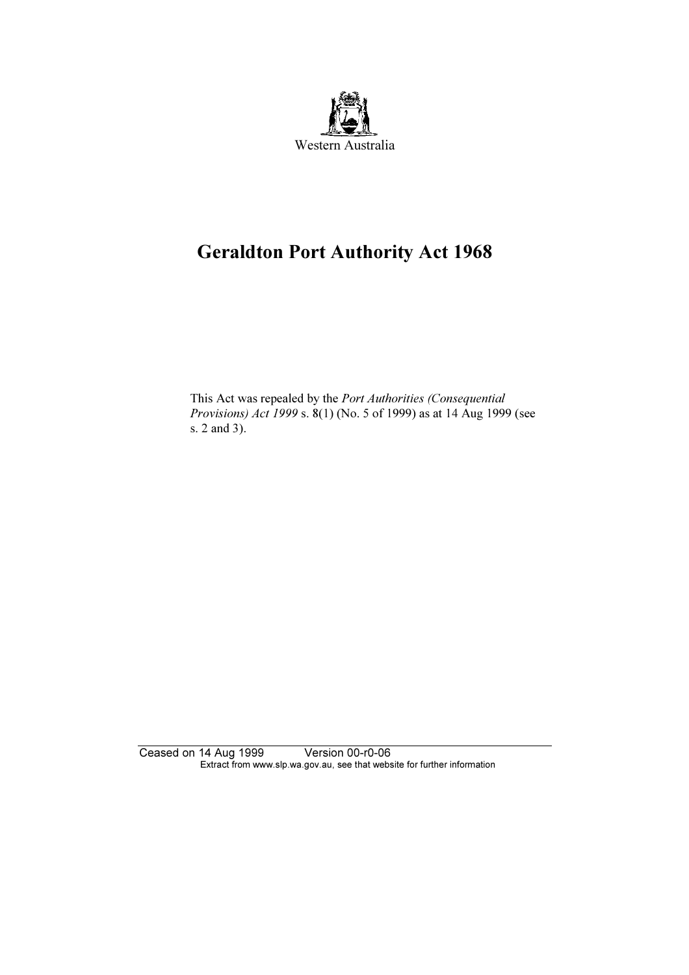

# Geraldton Port Authority Act 1968

 This Act was repealed by the Port Authorities (Consequential Provisions) Act 1999 s. 8(1) (No. 5 of 1999) as at 14 Aug 1999 (see s. 2 and 3).

Ceased on 14 Aug 1999 Version 00-r0-06 Extract from www.slp.wa.gov.au, see that website for further information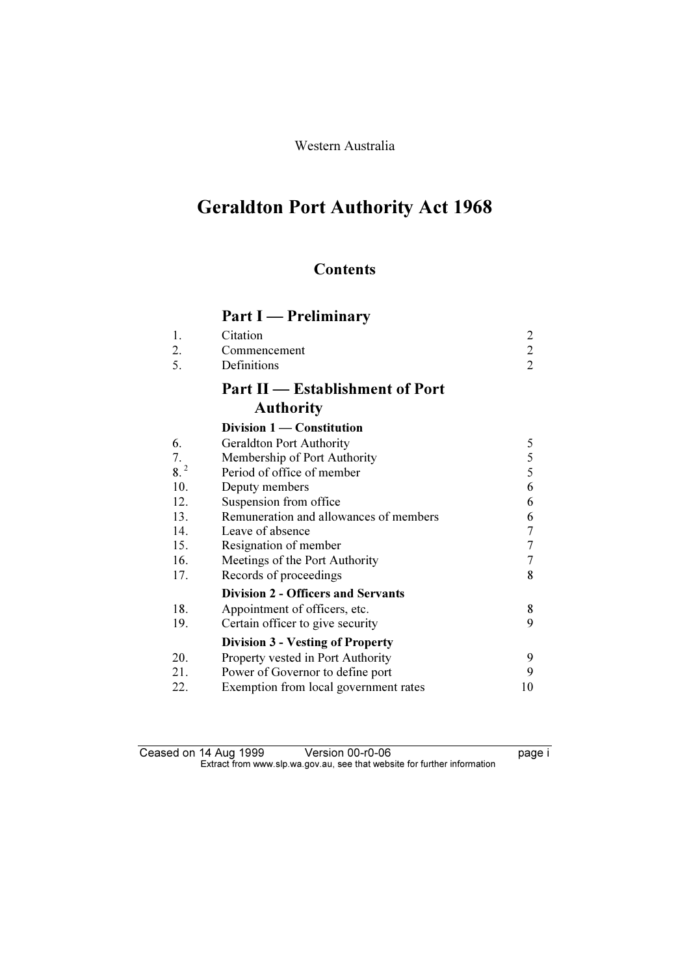Western Australia

# Geraldton Port Authority Act 1968

# **Contents**

# Part I — Preliminary

| 1.<br>2. | Citation<br>Commencement                  | $\overline{c}$<br>$\overline{2}$ |
|----------|-------------------------------------------|----------------------------------|
| 5.       | Definitions                               | $\overline{2}$                   |
|          | <b>Part II</b> — Establishment of Port    |                                  |
|          | <b>Authority</b>                          |                                  |
|          | Division 1 - Constitution                 |                                  |
| 6.       | <b>Geraldton Port Authority</b>           | 5                                |
| 7.       | Membership of Port Authority              | 5                                |
| $8^{2}$  | Period of office of member                | 5                                |
| 10.      | Deputy members                            | 6                                |
| 12.      | Suspension from office                    | 6                                |
| 13.      | Remuneration and allowances of members    | 6                                |
| 14.      | Leave of absence                          | 7                                |
| 15.      | Resignation of member                     | 7                                |
| 16.      | Meetings of the Port Authority            | 7                                |
| 17.      | Records of proceedings                    | 8                                |
|          | <b>Division 2 - Officers and Servants</b> |                                  |
| 18.      | Appointment of officers, etc.             | 8                                |
| 19.      | Certain officer to give security          | 9                                |
|          | <b>Division 3 - Vesting of Property</b>   |                                  |
| 20.      | Property vested in Port Authority         | 9                                |
| 21.      | Power of Governor to define port          | 9                                |
| 22.      | Exemption from local government rates     | 10                               |

Ceased on 14 Aug 1999 Version 00-r0-06 page i  $\mathbf{F}$  from which was the set that we besite for further information  $\mathbf{F}$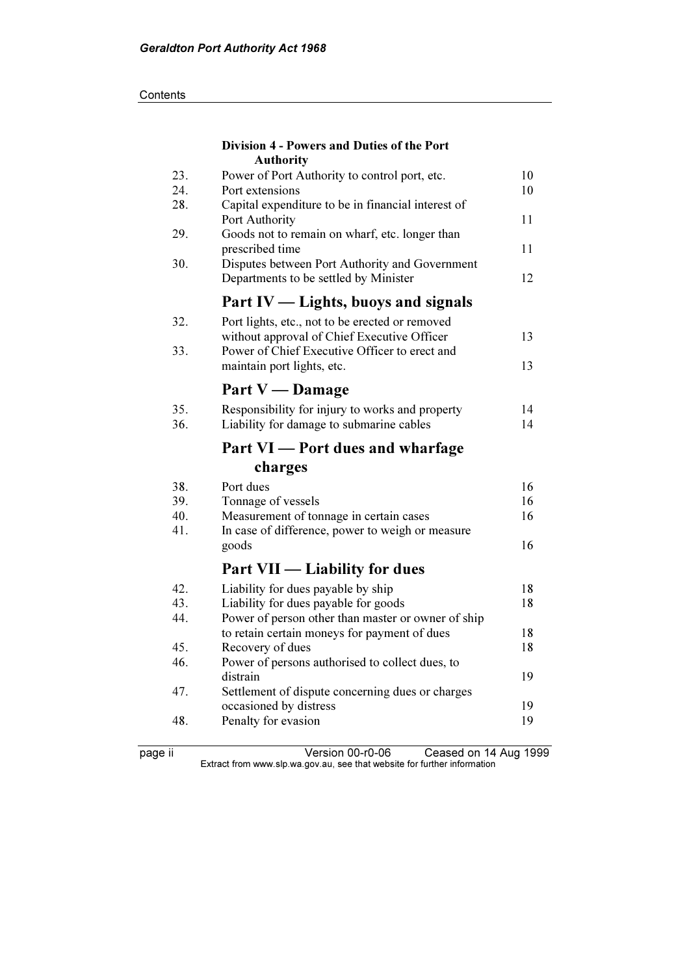#### **Contents**

|            | Division 4 - Powers and Duties of the Port<br><b>Authority</b>                          |    |
|------------|-----------------------------------------------------------------------------------------|----|
| 23.        | Power of Port Authority to control port, etc.                                           | 10 |
| 24.        | Port extensions                                                                         | 10 |
| 28.        | Capital expenditure to be in financial interest of                                      |    |
|            | Port Authority                                                                          | 11 |
| 29.        | Goods not to remain on wharf, etc. longer than                                          |    |
|            | prescribed time                                                                         | 11 |
| 30.        | Disputes between Port Authority and Government<br>Departments to be settled by Minister | 12 |
|            | Part IV — Lights, buoys and signals                                                     |    |
| 32.        | Port lights, etc., not to be erected or removed                                         |    |
|            | without approval of Chief Executive Officer                                             | 13 |
| 33.        | Power of Chief Executive Officer to erect and                                           |    |
|            | maintain port lights, etc.                                                              | 13 |
|            | Part V — Damage                                                                         |    |
| 35.        | Responsibility for injury to works and property                                         | 14 |
| 36.        | Liability for damage to submarine cables                                                | 14 |
|            | Part VI - Port dues and wharfage                                                        |    |
|            | charges                                                                                 |    |
| 38.        | Port dues                                                                               | 16 |
| 39.        | Tonnage of vessels                                                                      | 16 |
| 40.        | Measurement of tonnage in certain cases                                                 | 16 |
| 41.        | In case of difference, power to weigh or measure                                        |    |
|            | goods                                                                                   | 16 |
|            | <b>Part VII — Liability for dues</b>                                                    |    |
| 42.        | Liability for dues payable by ship                                                      | 18 |
| 43.        | Liability for dues payable for goods                                                    | 18 |
| 44.        | Power of person other than master or owner of ship                                      |    |
|            | to retain certain moneys for payment of dues                                            | 18 |
| 45.<br>46. | Recovery of dues                                                                        | 18 |
|            | Power of persons authorised to collect dues, to<br>distrain                             | 19 |
| 47.        | Settlement of dispute concerning dues or charges                                        |    |
|            | occasioned by distress                                                                  | 19 |
| 48.        | Penalty for evasion                                                                     | 19 |
|            |                                                                                         |    |

page ii Version 00-r0-06 Ceased on 14 Aug 1999  $\mathbf{F}$  from which was the set that we besite for further information  $\mathbf{F}$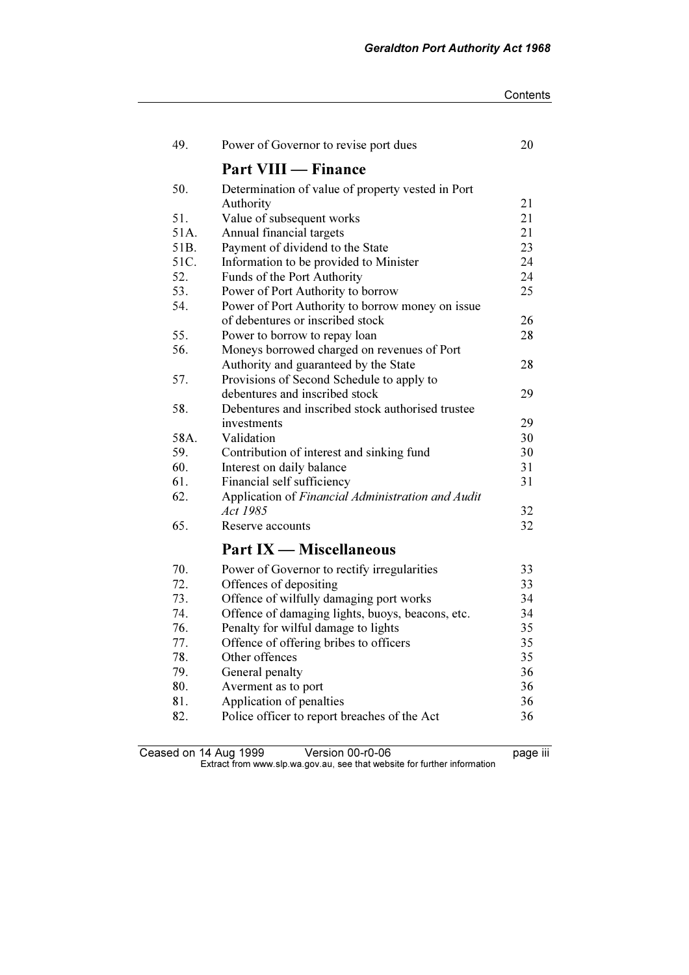| Contents |
|----------|
|----------|

| 49.  | Power of Governor to revise port dues             | 20 |
|------|---------------------------------------------------|----|
|      | <b>Part VIII — Finance</b>                        |    |
| 50.  | Determination of value of property vested in Port |    |
|      | Authority                                         | 21 |
| 51.  | Value of subsequent works                         | 21 |
| 51A. | Annual financial targets                          | 21 |
| 51B. | Payment of dividend to the State                  | 23 |
| 51C. | Information to be provided to Minister            | 24 |
| 52.  | Funds of the Port Authority                       | 24 |
| 53.  | Power of Port Authority to borrow                 | 25 |
| 54.  | Power of Port Authority to borrow money on issue  |    |
|      | of debentures or inscribed stock                  | 26 |
| 55.  | Power to borrow to repay loan                     | 28 |
| 56.  | Moneys borrowed charged on revenues of Port       |    |
|      | Authority and guaranteed by the State             | 28 |
| 57.  | Provisions of Second Schedule to apply to         |    |
|      | debentures and inscribed stock                    | 29 |
| 58.  | Debentures and inscribed stock authorised trustee |    |
|      | investments                                       | 29 |
| 58A. | Validation                                        | 30 |
| 59.  | Contribution of interest and sinking fund         | 30 |
| 60.  | Interest on daily balance                         | 31 |
| 61.  | Financial self sufficiency                        | 31 |
| 62.  | Application of Financial Administration and Audit |    |
|      | Act 1985                                          | 32 |
| 65.  | Reserve accounts                                  | 32 |
|      | <b>Part IX — Miscellaneous</b>                    |    |
| 70.  | Power of Governor to rectify irregularities       | 33 |
| 72.  | Offences of depositing                            | 33 |
| 73.  | Offence of wilfully damaging port works           | 34 |
| 74.  | Offence of damaging lights, buoys, beacons, etc.  | 34 |
| 76.  | Penalty for wilful damage to lights               | 35 |
| 77.  | Offence of offering bribes to officers            | 35 |
| 78.  | Other offences                                    | 35 |
| 79.  | General penalty                                   | 36 |
| 80.  | Averment as to port                               | 36 |
| 81.  | Application of penalties                          | 36 |
| 82.  | Police officer to report breaches of the Act      | 36 |
|      |                                                   |    |

Ceased on 14 Aug 1999 Version 00-r0-06 Version 00-r0-06  $\mathbf{F}$  from which was the set that we besite for further information  $\mathbf{F}$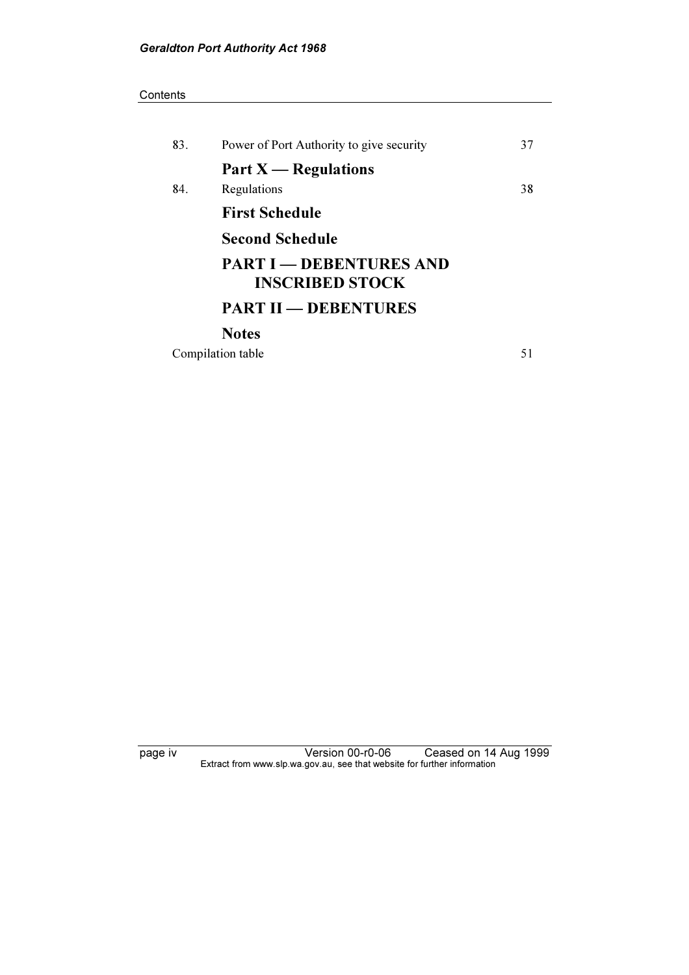#### **Contents**

| 83. | Power of Port Authority to give security                 | 37 |
|-----|----------------------------------------------------------|----|
|     | Part $X$ — Regulations                                   |    |
| 84. | Regulations                                              | 38 |
|     | <b>First Schedule</b>                                    |    |
|     | <b>Second Schedule</b>                                   |    |
|     | <b>PART I — DEBENTURES AND</b><br><b>INSCRIBED STOCK</b> |    |
|     | <b>PART II - DEBENTURES</b>                              |    |
|     | <b>Notes</b>                                             |    |
|     | Compilation table                                        | 51 |

page iv Version 00-r0-06 Ceased on 14 Aug 1999  $\mathbf{F}$  from which was the set that we besite for further information  $\mathbf{F}$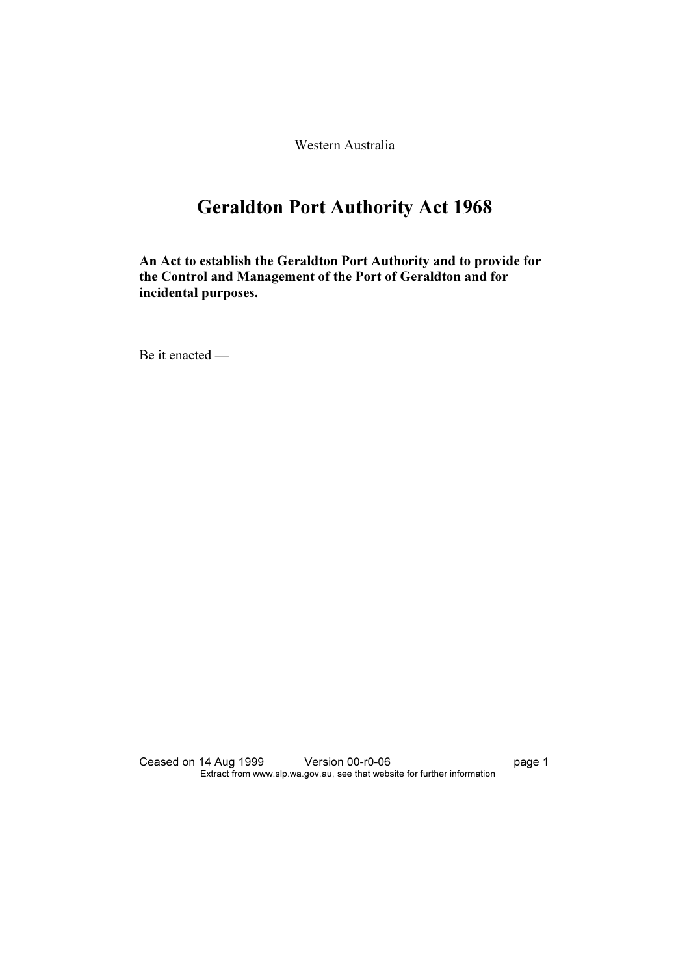Western Australia

# Geraldton Port Authority Act 1968

An Act to establish the Geraldton Port Authority and to provide for the Control and Management of the Port of Geraldton and for incidental purposes.

Be it enacted —

Ceased on 14 Aug 1999 Version 00-r0-06 page 1 Extract from www.slp.wa.gov.au, see that website for further information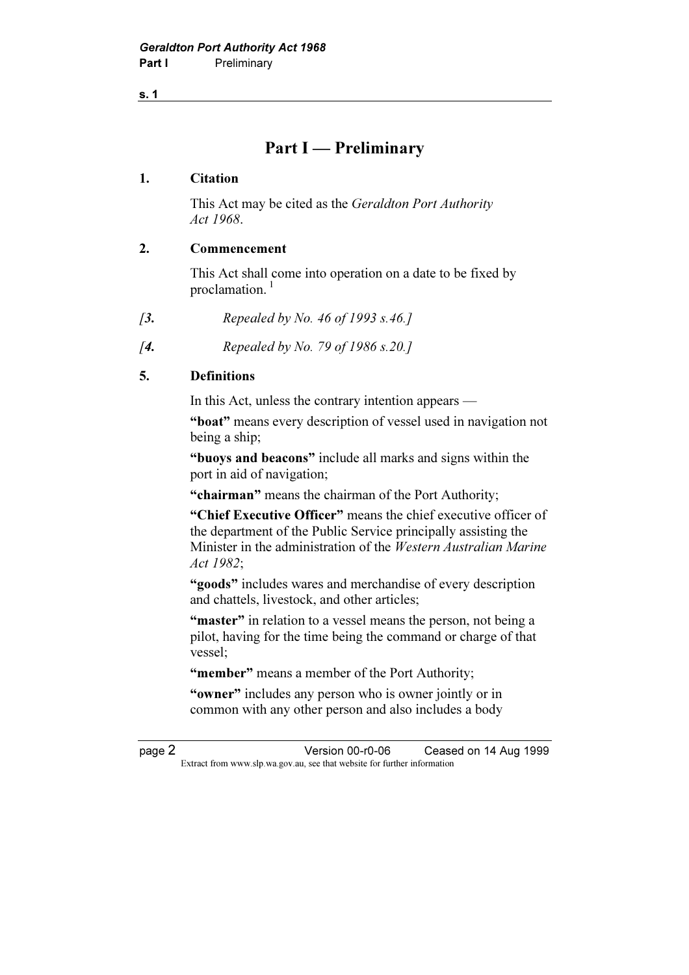s. 1

# Part I — Preliminary

#### 1. Citation

 This Act may be cited as the Geraldton Port Authority Act 1968.

#### 2. Commencement

 This Act shall come into operation on a date to be fixed by proclamation.<sup>1</sup>

- [3. Repealed by No. 46 of 1993 s.46.]
- [**4.** Repealed by No. 79 of 1986 s.20.]

#### 5. Definitions

In this Act, unless the contrary intention appears —

"boat" means every description of vessel used in navigation not being a ship;

 "buoys and beacons" include all marks and signs within the port in aid of navigation;

"chairman" means the chairman of the Port Authority;

 "Chief Executive Officer" means the chief executive officer of the department of the Public Service principally assisting the Minister in the administration of the Western Australian Marine Act 1982;

 "goods" includes wares and merchandise of every description and chattels, livestock, and other articles;

"master" in relation to a vessel means the person, not being a pilot, having for the time being the command or charge of that vessel;

"member" means a member of the Port Authority:

"owner" includes any person who is owner jointly or in common with any other person and also includes a body

page 2 Version 00-r0-06 Ceased on 14 Aug 1999 Extract from www.slp.wa.gov.au, see that website for further information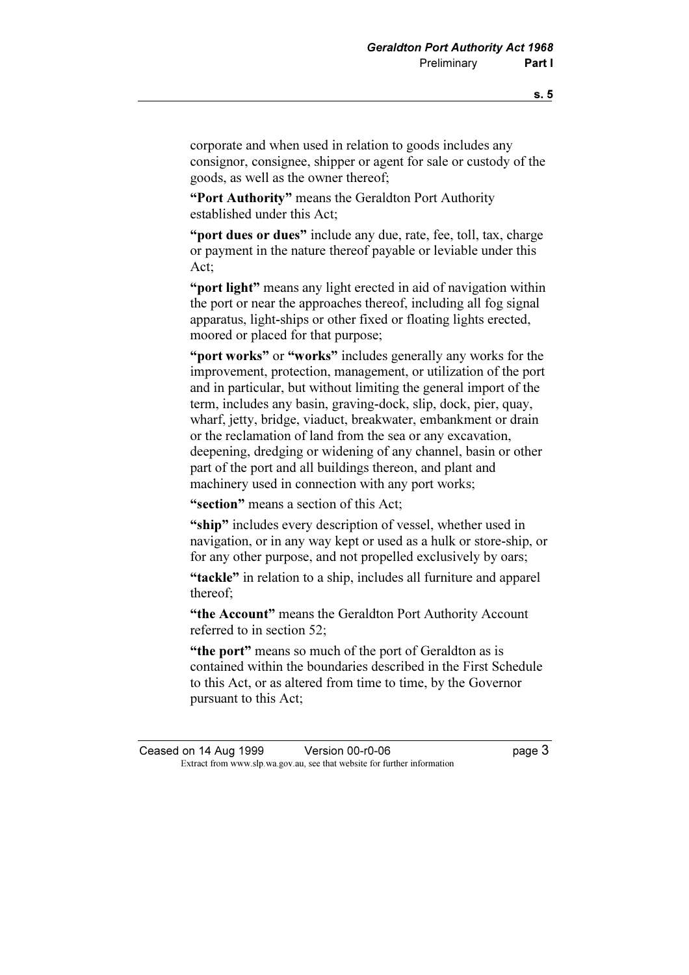corporate and when used in relation to goods includes any consignor, consignee, shipper or agent for sale or custody of the goods, as well as the owner thereof;

"Port Authority" means the Geraldton Port Authority established under this Act;

"port dues or dues" include any due, rate, fee, toll, tax, charge or payment in the nature thereof payable or leviable under this Act;

"**port light**" means any light erected in aid of navigation within the port or near the approaches thereof, including all fog signal apparatus, light-ships or other fixed or floating lights erected, moored or placed for that purpose;

"port works" or "works" includes generally any works for the improvement, protection, management, or utilization of the port and in particular, but without limiting the general import of the term, includes any basin, graving-dock, slip, dock, pier, quay, wharf, jetty, bridge, viaduct, breakwater, embankment or drain or the reclamation of land from the sea or any excavation, deepening, dredging or widening of any channel, basin or other part of the port and all buildings thereon, and plant and machinery used in connection with any port works;

"section" means a section of this Act:

"ship" includes every description of vessel, whether used in navigation, or in any way kept or used as a hulk or store-ship, or for any other purpose, and not propelled exclusively by oars;

"tackle" in relation to a ship, includes all furniture and apparel thereof;

"the Account" means the Geraldton Port Authority Account referred to in section 52;

"the port" means so much of the port of Geraldton as is contained within the boundaries described in the First Schedule to this Act, or as altered from time to time, by the Governor pursuant to this Act;

Ceased on 14 Aug 1999 Version 00-r0-06 page 3 Extract from www.slp.wa.gov.au, see that website for further information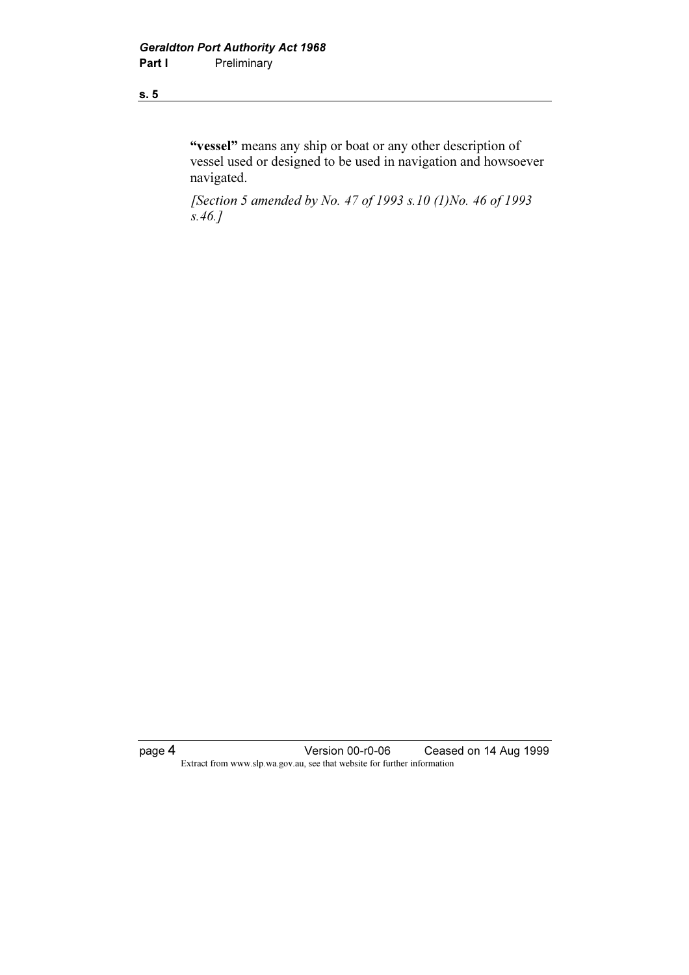#### s. 5

"vessel" means any ship or boat or any other description of vessel used or designed to be used in navigation and howsoever navigated.

 [Section 5 amended by No. 47 of 1993 s.10 (1)No. 46 of 1993 s.46.]

page 4 Version 00-r0-06 Ceased on 14 Aug 1999 Extract from www.slp.wa.gov.au, see that website for further information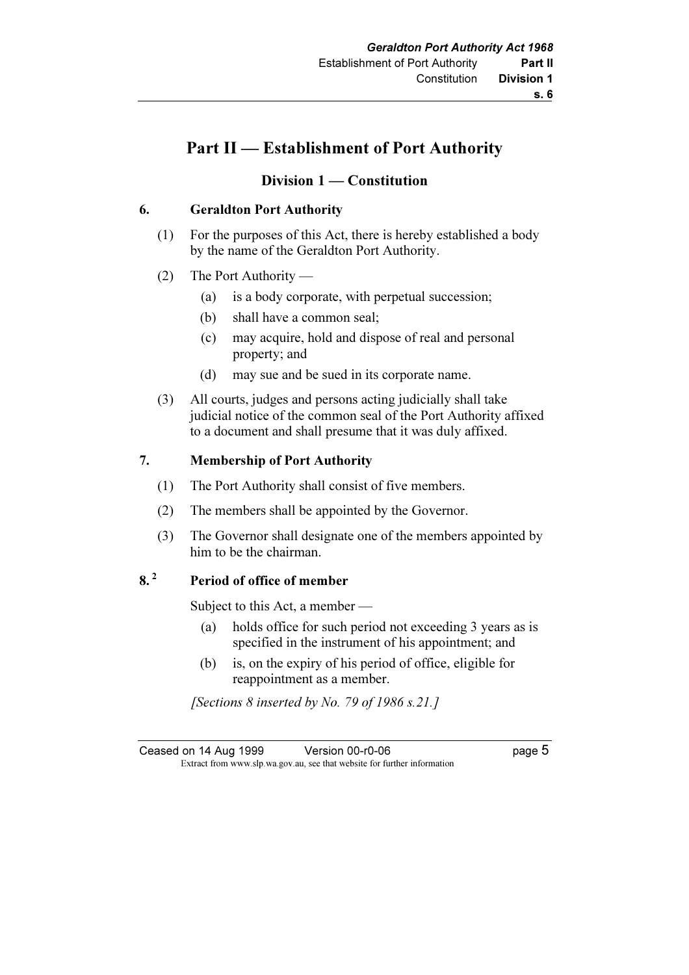#### s. 6

# Part II — Establishment of Port Authority

### Division 1 — Constitution

### 6. Geraldton Port Authority

- (1) For the purposes of this Act, there is hereby established a body by the name of the Geraldton Port Authority.
- (2) The Port Authority
	- (a) is a body corporate, with perpetual succession;
	- (b) shall have a common seal;
	- (c) may acquire, hold and dispose of real and personal property; and
	- (d) may sue and be sued in its corporate name.
- (3) All courts, judges and persons acting judicially shall take judicial notice of the common seal of the Port Authority affixed to a document and shall presume that it was duly affixed.

### 7. Membership of Port Authority

- (1) The Port Authority shall consist of five members.
- (2) The members shall be appointed by the Governor.
- (3) The Governor shall designate one of the members appointed by him to be the chairman.

## 8.<sup>2</sup> Period of office of member

Subject to this Act, a member —

- (a) holds office for such period not exceeding 3 years as is specified in the instrument of his appointment; and
- (b) is, on the expiry of his period of office, eligible for reappointment as a member.

[Sections 8 inserted by No. 79 of 1986 s.21.]

| Ceased on 14 Aug 1999 | Version 00-r0-06                                                         | page 5 |
|-----------------------|--------------------------------------------------------------------------|--------|
|                       | Extract from www.slp.wa.gov.au, see that website for further information |        |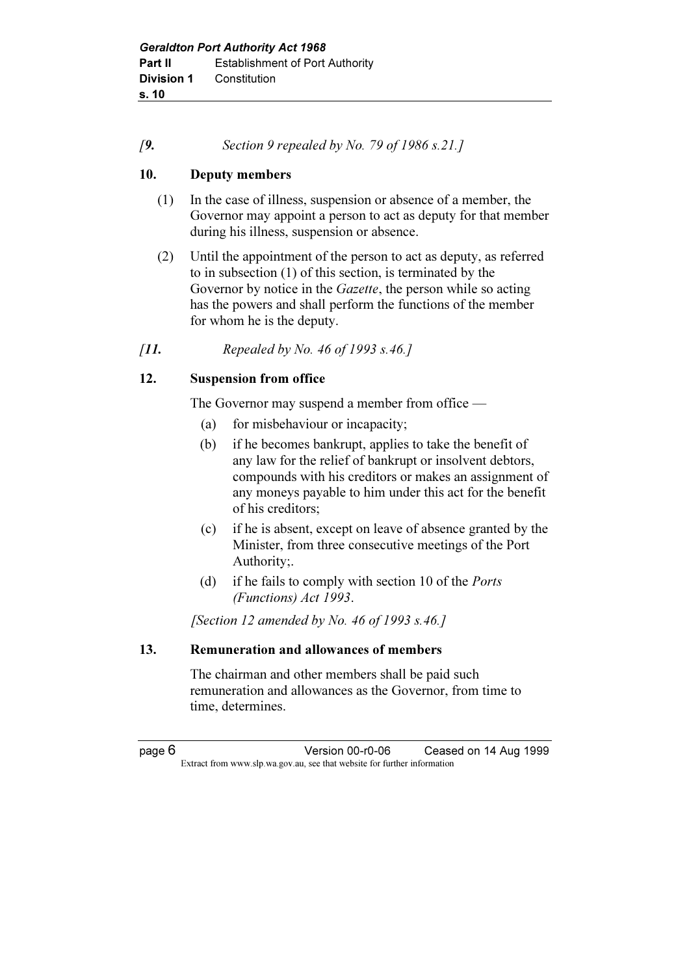#### $[9.$  Section 9 repealed by No. 79 of 1986 s.21.]

#### 10. Deputy members

- (1) In the case of illness, suspension or absence of a member, the Governor may appoint a person to act as deputy for that member during his illness, suspension or absence.
- (2) Until the appointment of the person to act as deputy, as referred to in subsection (1) of this section, is terminated by the Governor by notice in the *Gazette*, the person while so acting has the powers and shall perform the functions of the member for whom he is the deputy.
- [11. Repealed by No. 46 of 1993 s.46.]

### 12. Suspension from office

The Governor may suspend a member from office —

- (a) for misbehaviour or incapacity;
- (b) if he becomes bankrupt, applies to take the benefit of any law for the relief of bankrupt or insolvent debtors, compounds with his creditors or makes an assignment of any moneys payable to him under this act for the benefit of his creditors;
- (c) if he is absent, except on leave of absence granted by the Minister, from three consecutive meetings of the Port Authority;.
- (d) if he fails to comply with section 10 of the Ports (Functions) Act 1993.

[Section 12 amended by No. 46 of 1993 s.46.]

#### 13. Remuneration and allowances of members

 The chairman and other members shall be paid such remuneration and allowances as the Governor, from time to time, determines.

page 6 Version 00-r0-06 Ceased on 14 Aug 1999 Extract from www.slp.wa.gov.au, see that website for further information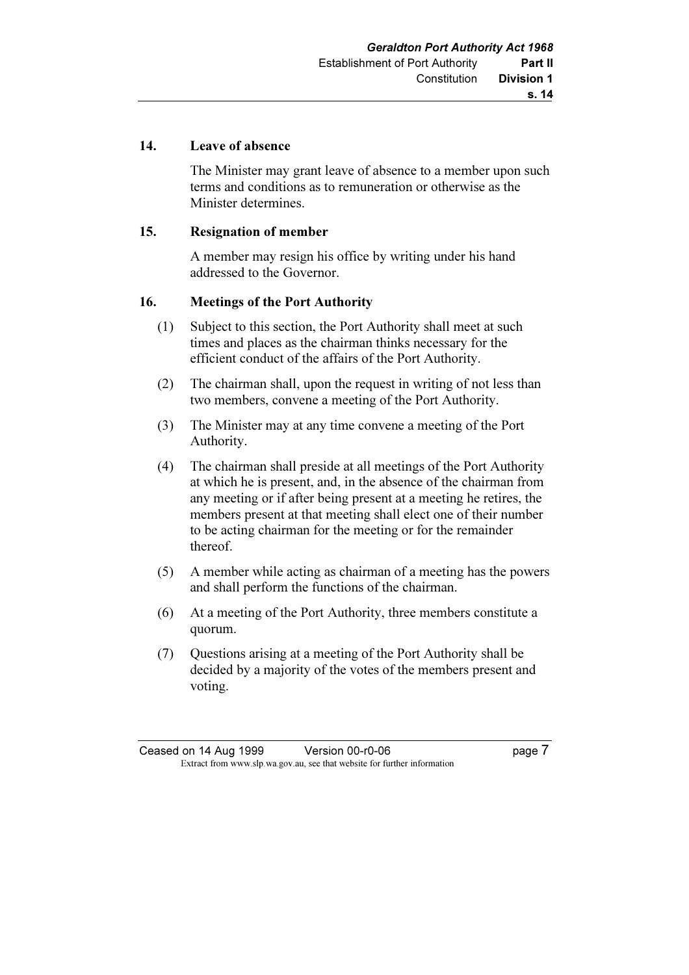#### 14. Leave of absence

 The Minister may grant leave of absence to a member upon such terms and conditions as to remuneration or otherwise as the Minister determines.

#### 15. Resignation of member

 A member may resign his office by writing under his hand addressed to the Governor.

#### 16. Meetings of the Port Authority

- (1) Subject to this section, the Port Authority shall meet at such times and places as the chairman thinks necessary for the efficient conduct of the affairs of the Port Authority.
- (2) The chairman shall, upon the request in writing of not less than two members, convene a meeting of the Port Authority.
- (3) The Minister may at any time convene a meeting of the Port Authority.
- (4) The chairman shall preside at all meetings of the Port Authority at which he is present, and, in the absence of the chairman from any meeting or if after being present at a meeting he retires, the members present at that meeting shall elect one of their number to be acting chairman for the meeting or for the remainder thereof.
- (5) A member while acting as chairman of a meeting has the powers and shall perform the functions of the chairman.
- (6) At a meeting of the Port Authority, three members constitute a quorum.
- (7) Questions arising at a meeting of the Port Authority shall be decided by a majority of the votes of the members present and voting.

Ceased on 14 Aug 1999 Version 00-r0-06 page 7 Extract from www.slp.wa.gov.au, see that website for further information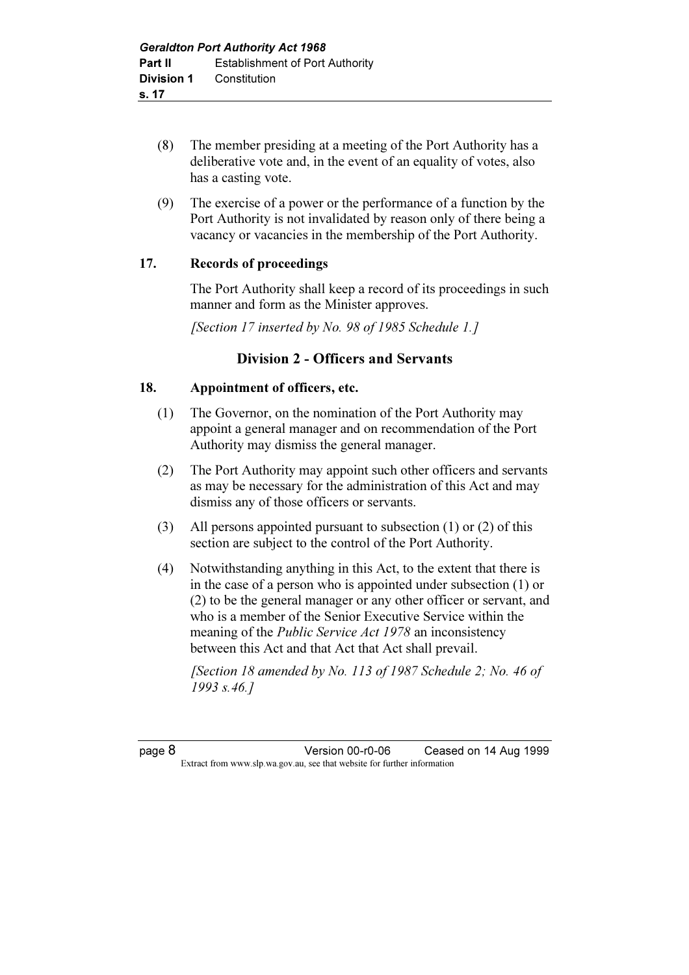- (8) The member presiding at a meeting of the Port Authority has a deliberative vote and, in the event of an equality of votes, also has a casting vote.
- (9) The exercise of a power or the performance of a function by the Port Authority is not invalidated by reason only of there being a vacancy or vacancies in the membership of the Port Authority.

#### 17. Records of proceedings

 The Port Authority shall keep a record of its proceedings in such manner and form as the Minister approves.

[Section 17 inserted by No. 98 of 1985 Schedule 1.]

### Division 2 - Officers and Servants

### 18. Appointment of officers, etc.

- (1) The Governor, on the nomination of the Port Authority may appoint a general manager and on recommendation of the Port Authority may dismiss the general manager.
- (2) The Port Authority may appoint such other officers and servants as may be necessary for the administration of this Act and may dismiss any of those officers or servants.
- (3) All persons appointed pursuant to subsection (1) or (2) of this section are subject to the control of the Port Authority.
- (4) Notwithstanding anything in this Act, to the extent that there is in the case of a person who is appointed under subsection (1) or (2) to be the general manager or any other officer or servant, and who is a member of the Senior Executive Service within the meaning of the *Public Service Act 1978* an inconsistency between this Act and that Act that Act shall prevail.

[Section 18 amended by No. 113 of 1987 Schedule 2: No. 46 of 1993 s.46.]

page 8 Version 00-r0-06 Ceased on 14 Aug 1999 Extract from www.slp.wa.gov.au, see that website for further information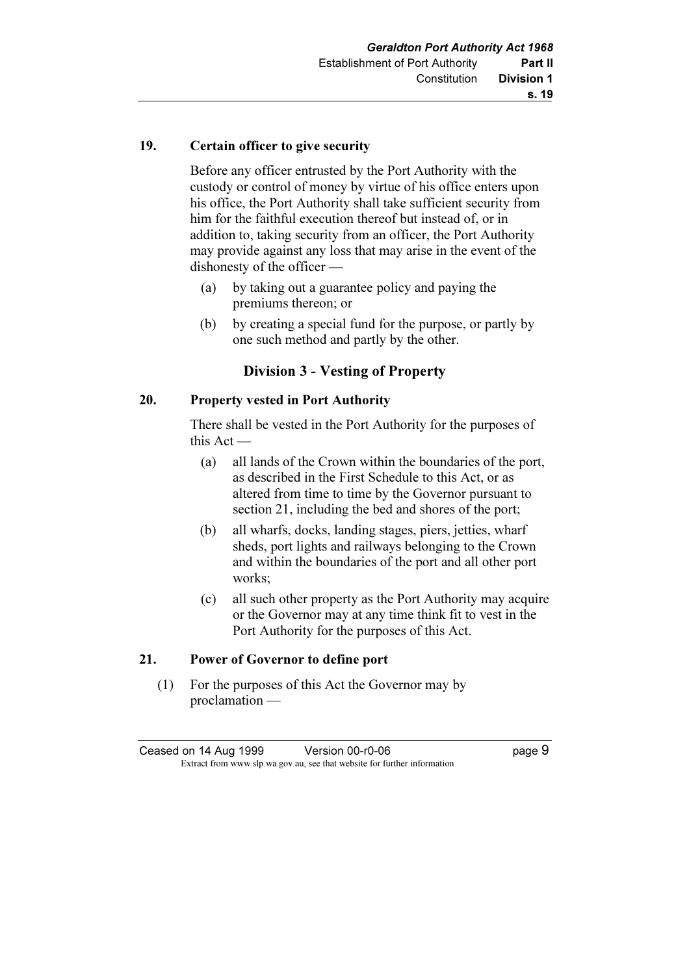#### 19. Certain officer to give security

 Before any officer entrusted by the Port Authority with the custody or control of money by virtue of his office enters upon his office, the Port Authority shall take sufficient security from him for the faithful execution thereof but instead of, or in addition to, taking security from an officer, the Port Authority may provide against any loss that may arise in the event of the dishonesty of the officer —

- (a) by taking out a guarantee policy and paying the premiums thereon; or
- (b) by creating a special fund for the purpose, or partly by one such method and partly by the other.

#### Division 3 - Vesting of Property

### 20. Property vested in Port Authority

 There shall be vested in the Port Authority for the purposes of this Act —

- (a) all lands of the Crown within the boundaries of the port, as described in the First Schedule to this Act, or as altered from time to time by the Governor pursuant to section 21, including the bed and shores of the port;
- (b) all wharfs, docks, landing stages, piers, jetties, wharf sheds, port lights and railways belonging to the Crown and within the boundaries of the port and all other port works;
- (c) all such other property as the Port Authority may acquire or the Governor may at any time think fit to vest in the Port Authority for the purposes of this Act.

#### 21. Power of Governor to define port

 (1) For the purposes of this Act the Governor may by proclamation —

| Ceased on 14 Aug 1999 | Version 00-r0-06                                                         | page 9 |
|-----------------------|--------------------------------------------------------------------------|--------|
|                       | Extract from www.slp.wa.gov.au, see that website for further information |        |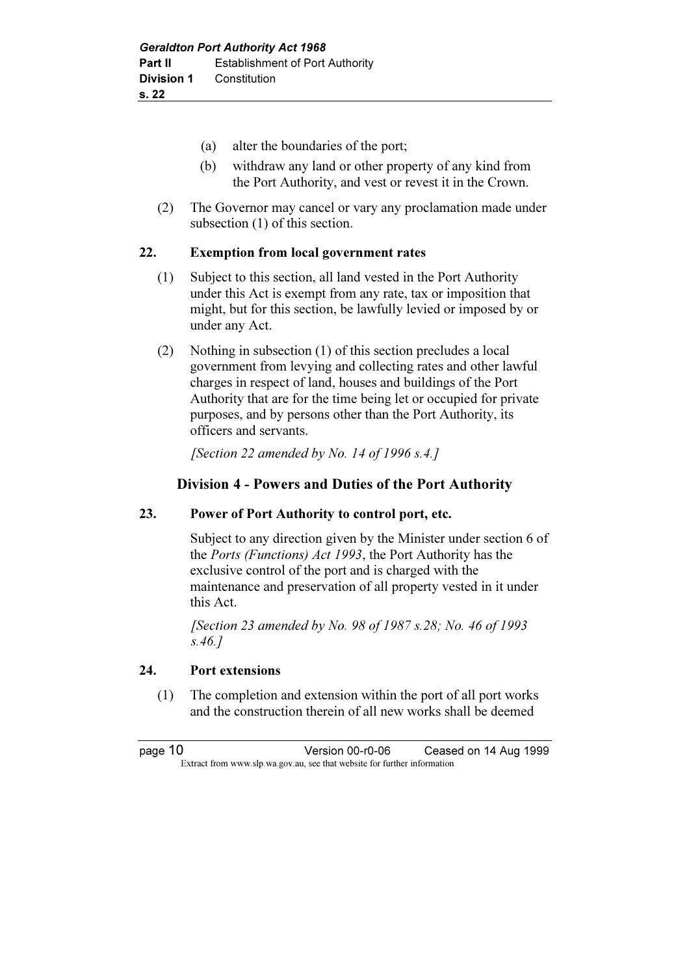- (a) alter the boundaries of the port;
- (b) withdraw any land or other property of any kind from the Port Authority, and vest or revest it in the Crown.
- (2) The Governor may cancel or vary any proclamation made under subsection (1) of this section.

#### 22. Exemption from local government rates

- (1) Subject to this section, all land vested in the Port Authority under this Act is exempt from any rate, tax or imposition that might, but for this section, be lawfully levied or imposed by or under any Act.
- (2) Nothing in subsection (1) of this section precludes a local government from levying and collecting rates and other lawful charges in respect of land, houses and buildings of the Port Authority that are for the time being let or occupied for private purposes, and by persons other than the Port Authority, its officers and servants.

[Section 22 amended by No. 14 of 1996 s.4.]

### Division 4 - Powers and Duties of the Port Authority

#### 23. Power of Port Authority to control port, etc.

 Subject to any direction given by the Minister under section 6 of the Ports (Functions) Act 1993, the Port Authority has the exclusive control of the port and is charged with the maintenance and preservation of all property vested in it under this Act.

 [Section 23 amended by No. 98 of 1987 s.28; No. 46 of 1993 s.46.]

#### 24. Port extensions

 (1) The completion and extension within the port of all port works and the construction therein of all new works shall be deemed

page 10 Version 00-r0-06 Ceased on 14 Aug 1999 Extract from www.slp.wa.gov.au, see that website for further information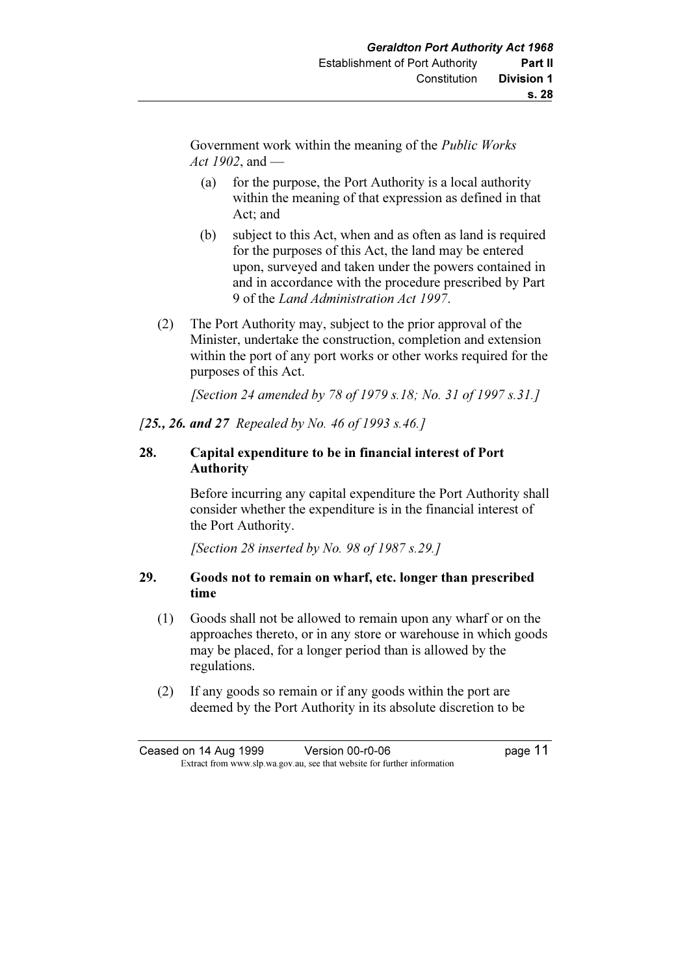Government work within the meaning of the Public Works Act 1902, and  $-$ 

- (a) for the purpose, the Port Authority is a local authority within the meaning of that expression as defined in that Act; and
- (b) subject to this Act, when and as often as land is required for the purposes of this Act, the land may be entered upon, surveyed and taken under the powers contained in and in accordance with the procedure prescribed by Part 9 of the Land Administration Act 1997.
- (2) The Port Authority may, subject to the prior approval of the Minister, undertake the construction, completion and extension within the port of any port works or other works required for the purposes of this Act.

[Section 24 amended by 78 of 1979 s.18; No. 31 of 1997 s.31.]

[25., 26. and 27 Repealed by No. 46 of 1993 s.46.]

### 28. Capital expenditure to be in financial interest of Port Authority

 Before incurring any capital expenditure the Port Authority shall consider whether the expenditure is in the financial interest of the Port Authority.

[Section 28 inserted by No. 98 of 1987 s.29.]

### 29. Goods not to remain on wharf, etc. longer than prescribed time

- (1) Goods shall not be allowed to remain upon any wharf or on the approaches thereto, or in any store or warehouse in which goods may be placed, for a longer period than is allowed by the regulations.
- (2) If any goods so remain or if any goods within the port are deemed by the Port Authority in its absolute discretion to be

Ceased on 14 Aug 1999 Version 00-r0-06 page 11 Extract from www.slp.wa.gov.au, see that website for further information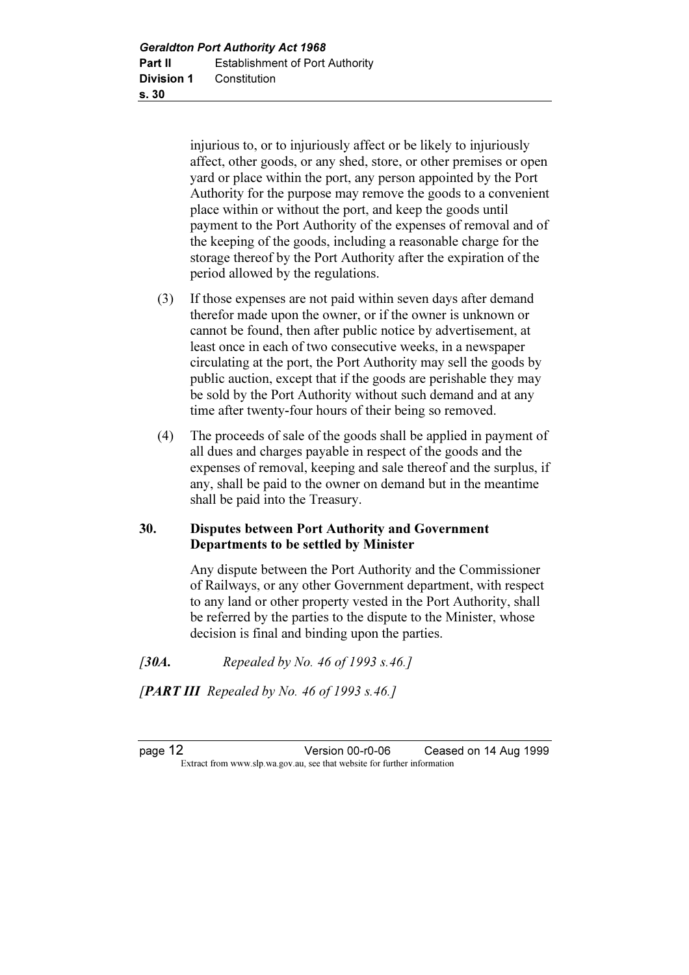injurious to, or to injuriously affect or be likely to injuriously affect, other goods, or any shed, store, or other premises or open yard or place within the port, any person appointed by the Port Authority for the purpose may remove the goods to a convenient place within or without the port, and keep the goods until payment to the Port Authority of the expenses of removal and of the keeping of the goods, including a reasonable charge for the storage thereof by the Port Authority after the expiration of the period allowed by the regulations.

- (3) If those expenses are not paid within seven days after demand therefor made upon the owner, or if the owner is unknown or cannot be found, then after public notice by advertisement, at least once in each of two consecutive weeks, in a newspaper circulating at the port, the Port Authority may sell the goods by public auction, except that if the goods are perishable they may be sold by the Port Authority without such demand and at any time after twenty-four hours of their being so removed.
- (4) The proceeds of sale of the goods shall be applied in payment of all dues and charges payable in respect of the goods and the expenses of removal, keeping and sale thereof and the surplus, if any, shall be paid to the owner on demand but in the meantime shall be paid into the Treasury.

### 30. Disputes between Port Authority and Government Departments to be settled by Minister

 Any dispute between the Port Authority and the Commissioner of Railways, or any other Government department, with respect to any land or other property vested in the Port Authority, shall be referred by the parties to the dispute to the Minister, whose decision is final and binding upon the parties.

- [30A. Repealed by No. 46 of 1993 s.46.]
- [PART III Repealed by No. 46 of 1993 s.46.]

page 12 Version 00-r0-06 Ceased on 14 Aug 1999 Extract from www.slp.wa.gov.au, see that website for further information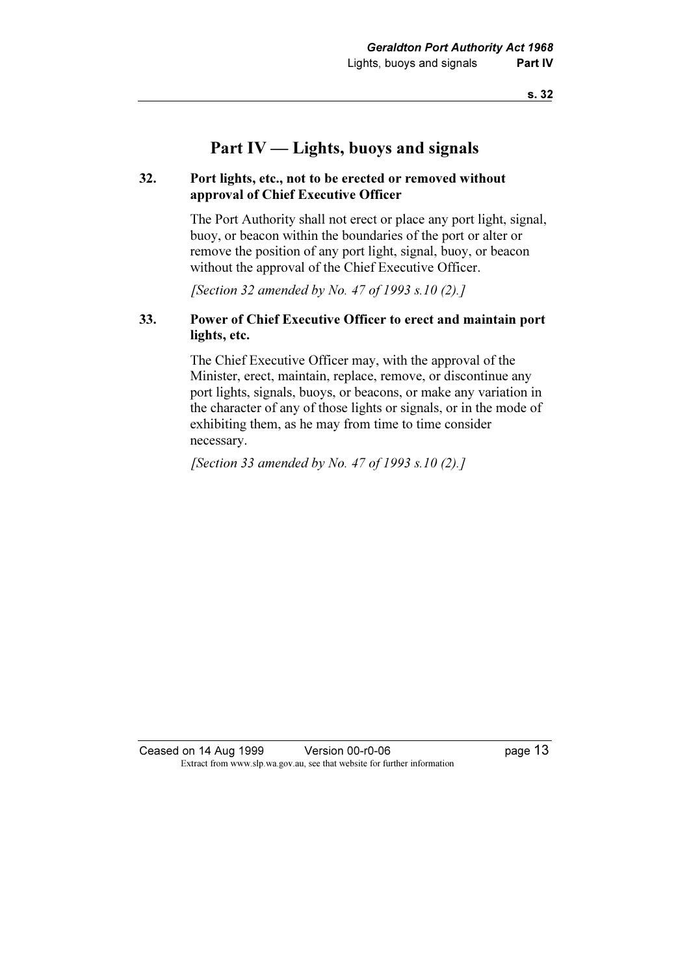# Part IV — Lights, buoys and signals

#### 32. Port lights, etc., not to be erected or removed without approval of Chief Executive Officer

 The Port Authority shall not erect or place any port light, signal, buoy, or beacon within the boundaries of the port or alter or remove the position of any port light, signal, buoy, or beacon without the approval of the Chief Executive Officer.

[Section 32 amended by No. 47 of 1993 s.10 (2).]

#### 33. Power of Chief Executive Officer to erect and maintain port lights, etc.

 The Chief Executive Officer may, with the approval of the Minister, erect, maintain, replace, remove, or discontinue any port lights, signals, buoys, or beacons, or make any variation in the character of any of those lights or signals, or in the mode of exhibiting them, as he may from time to time consider necessary.

[Section 33 amended by No. 47 of 1993 s.10  $(2)$ .]

Ceased on 14 Aug 1999 Version 00-r0-06 Page 13 Extract from www.slp.wa.gov.au, see that website for further information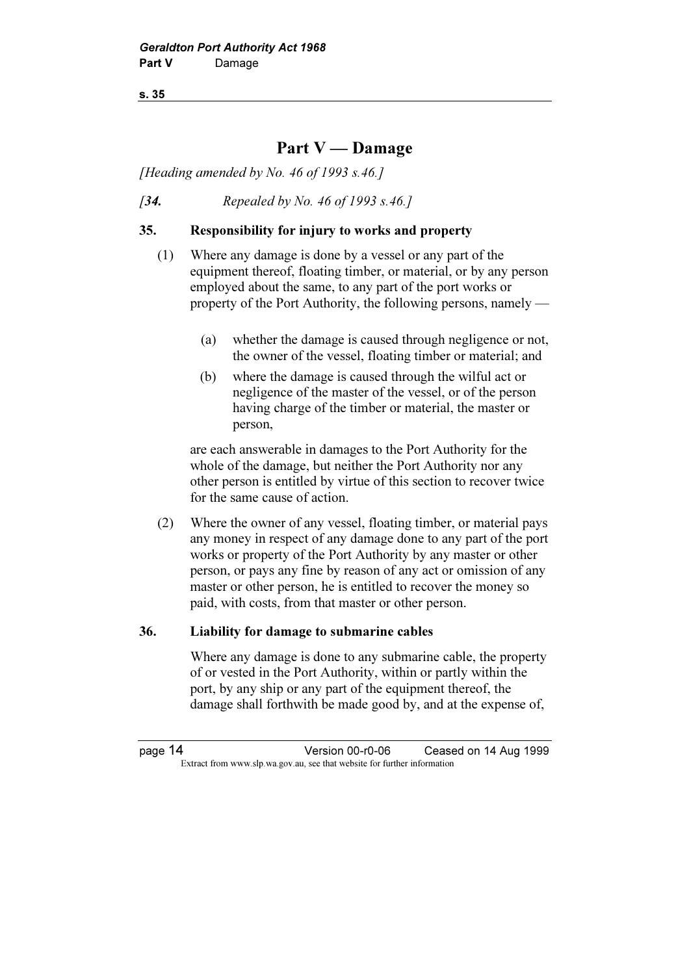s. 35

# Part V — Damage

[Heading amended by No. 46 of 1993 s.46.]

[34. Repealed by No. 46 of 1993 s.46.]

#### 35. Responsibility for injury to works and property

- (1) Where any damage is done by a vessel or any part of the equipment thereof, floating timber, or material, or by any person employed about the same, to any part of the port works or property of the Port Authority, the following persons, namely —
	- (a) whether the damage is caused through negligence or not, the owner of the vessel, floating timber or material; and
	- (b) where the damage is caused through the wilful act or negligence of the master of the vessel, or of the person having charge of the timber or material, the master or person,

 are each answerable in damages to the Port Authority for the whole of the damage, but neither the Port Authority nor any other person is entitled by virtue of this section to recover twice for the same cause of action.

 (2) Where the owner of any vessel, floating timber, or material pays any money in respect of any damage done to any part of the port works or property of the Port Authority by any master or other person, or pays any fine by reason of any act or omission of any master or other person, he is entitled to recover the money so paid, with costs, from that master or other person.

#### 36. Liability for damage to submarine cables

 Where any damage is done to any submarine cable, the property of or vested in the Port Authority, within or partly within the port, by any ship or any part of the equipment thereof, the damage shall forthwith be made good by, and at the expense of,

page 14 Version 00-r0-06 Ceased on 14 Aug 1999 Extract from www.slp.wa.gov.au, see that website for further information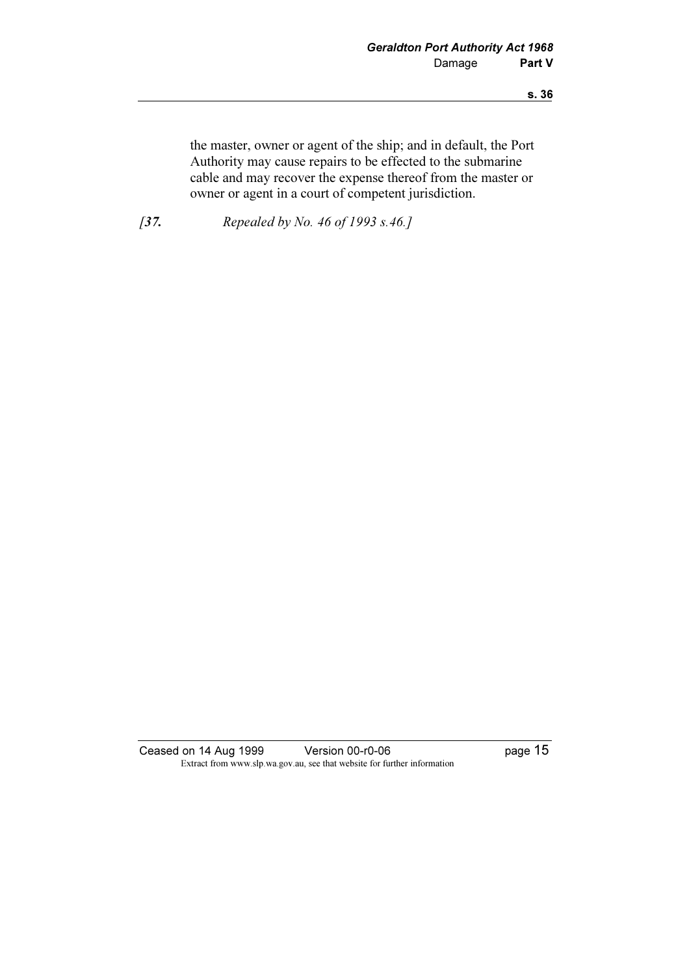the master, owner or agent of the ship; and in default, the Port Authority may cause repairs to be effected to the submarine cable and may recover the expense thereof from the master or owner or agent in a court of competent jurisdiction.

[37. Repealed by No. 46 of 1993 s.46.]

Ceased on 14 Aug 1999 Version 00-r0-06 Page 15 Extract from www.slp.wa.gov.au, see that website for further information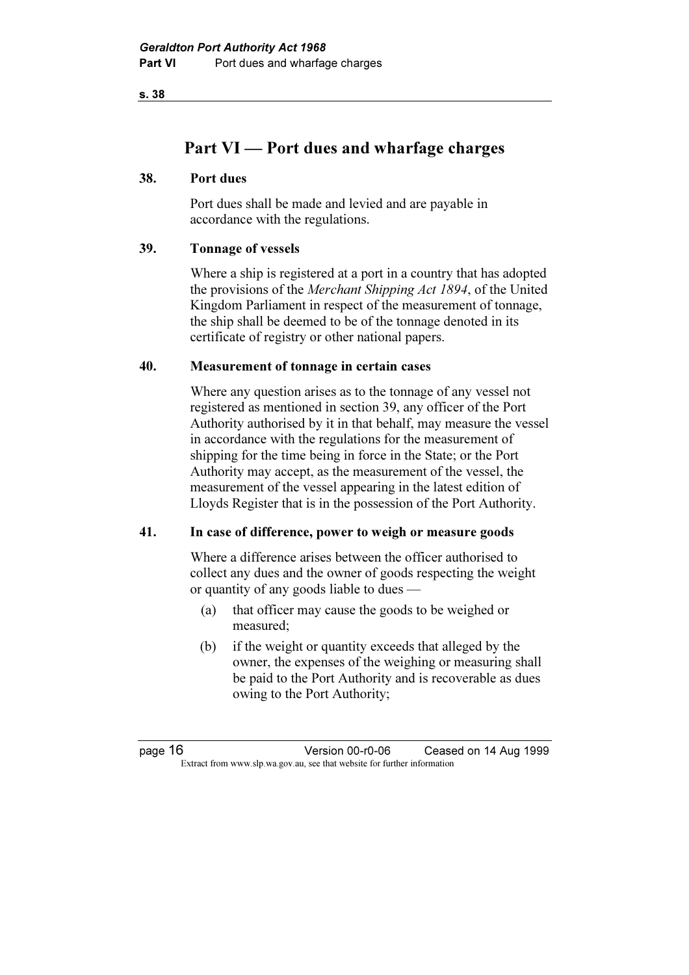s. 38

# Part VI — Port dues and wharfage charges

#### 38. Port dues

 Port dues shall be made and levied and are payable in accordance with the regulations.

#### 39. Tonnage of vessels

 Where a ship is registered at a port in a country that has adopted the provisions of the Merchant Shipping Act 1894, of the United Kingdom Parliament in respect of the measurement of tonnage, the ship shall be deemed to be of the tonnage denoted in its certificate of registry or other national papers.

#### 40. Measurement of tonnage in certain cases

 Where any question arises as to the tonnage of any vessel not registered as mentioned in section 39, any officer of the Port Authority authorised by it in that behalf, may measure the vessel in accordance with the regulations for the measurement of shipping for the time being in force in the State; or the Port Authority may accept, as the measurement of the vessel, the measurement of the vessel appearing in the latest edition of Lloyds Register that is in the possession of the Port Authority.

#### 41. In case of difference, power to weigh or measure goods

 Where a difference arises between the officer authorised to collect any dues and the owner of goods respecting the weight or quantity of any goods liable to dues —

- (a) that officer may cause the goods to be weighed or measured;
- (b) if the weight or quantity exceeds that alleged by the owner, the expenses of the weighing or measuring shall be paid to the Port Authority and is recoverable as dues owing to the Port Authority;

page 16 Version 00-r0-06 Ceased on 14 Aug 1999 Extract from www.slp.wa.gov.au, see that website for further information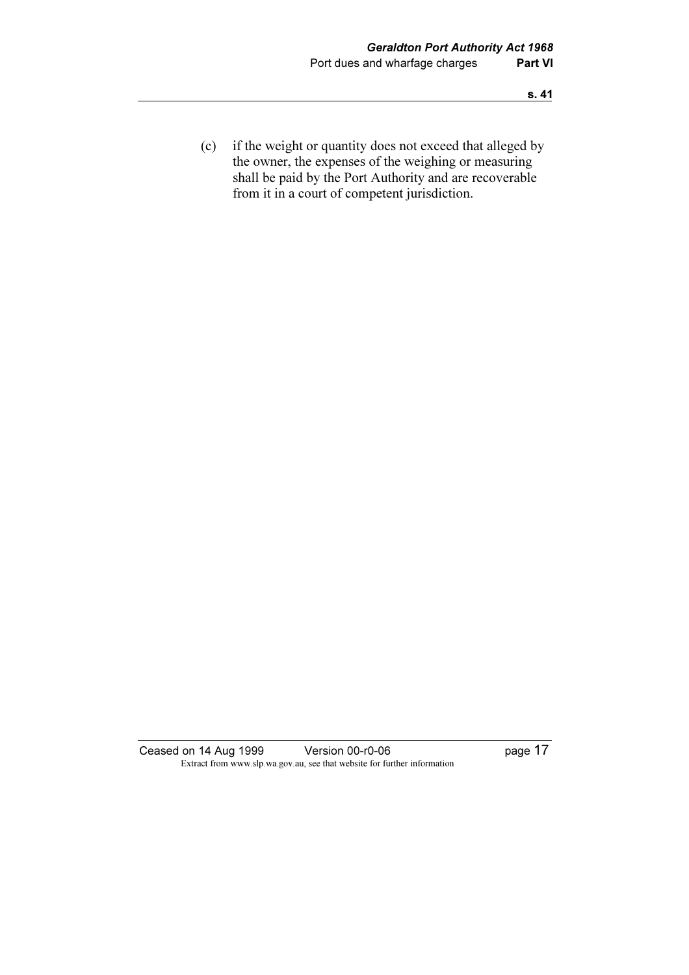(c) if the weight or quantity does not exceed that alleged by the owner, the expenses of the weighing or measuring shall be paid by the Port Authority and are recoverable from it in a court of competent jurisdiction.

Ceased on 14 Aug 1999 Version 00-r0-06 Page 17 Extract from www.slp.wa.gov.au, see that website for further information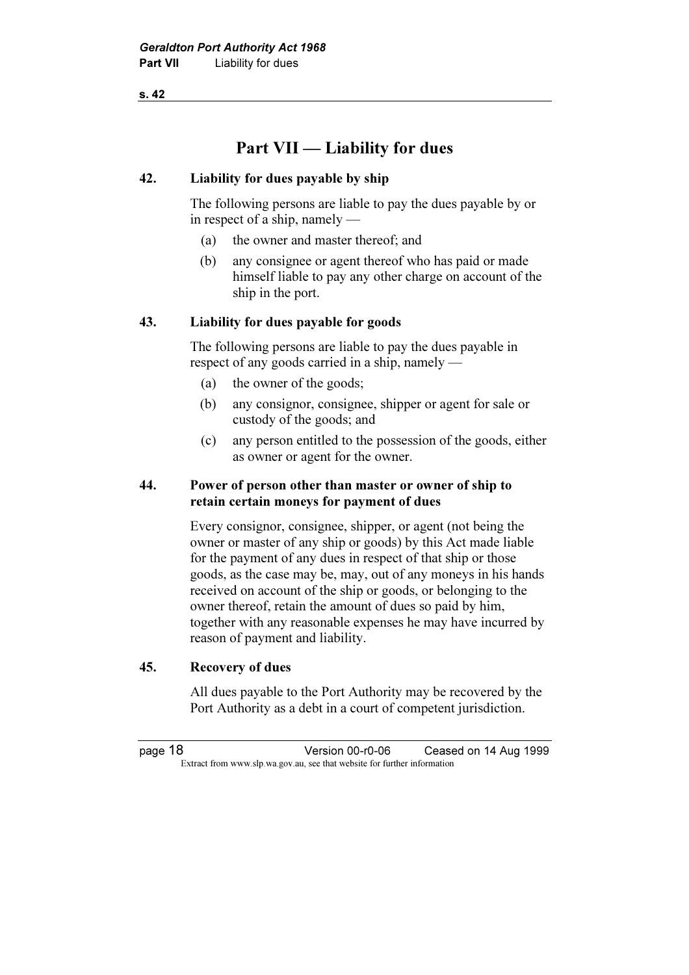s. 42

# Part VII — Liability for dues

#### 42. Liability for dues payable by ship

 The following persons are liable to pay the dues payable by or in respect of a ship, namely —

- (a) the owner and master thereof; and
- (b) any consignee or agent thereof who has paid or made himself liable to pay any other charge on account of the ship in the port.

#### 43. Liability for dues payable for goods

 The following persons are liable to pay the dues payable in respect of any goods carried in a ship, namely —

- (a) the owner of the goods;
- (b) any consignor, consignee, shipper or agent for sale or custody of the goods; and
- (c) any person entitled to the possession of the goods, either as owner or agent for the owner.

#### 44. Power of person other than master or owner of ship to retain certain moneys for payment of dues

 Every consignor, consignee, shipper, or agent (not being the owner or master of any ship or goods) by this Act made liable for the payment of any dues in respect of that ship or those goods, as the case may be, may, out of any moneys in his hands received on account of the ship or goods, or belonging to the owner thereof, retain the amount of dues so paid by him, together with any reasonable expenses he may have incurred by reason of payment and liability.

#### 45. Recovery of dues

 All dues payable to the Port Authority may be recovered by the Port Authority as a debt in a court of competent jurisdiction.

page 18 Version 00-r0-06 Ceased on 14 Aug 1999 Extract from www.slp.wa.gov.au, see that website for further information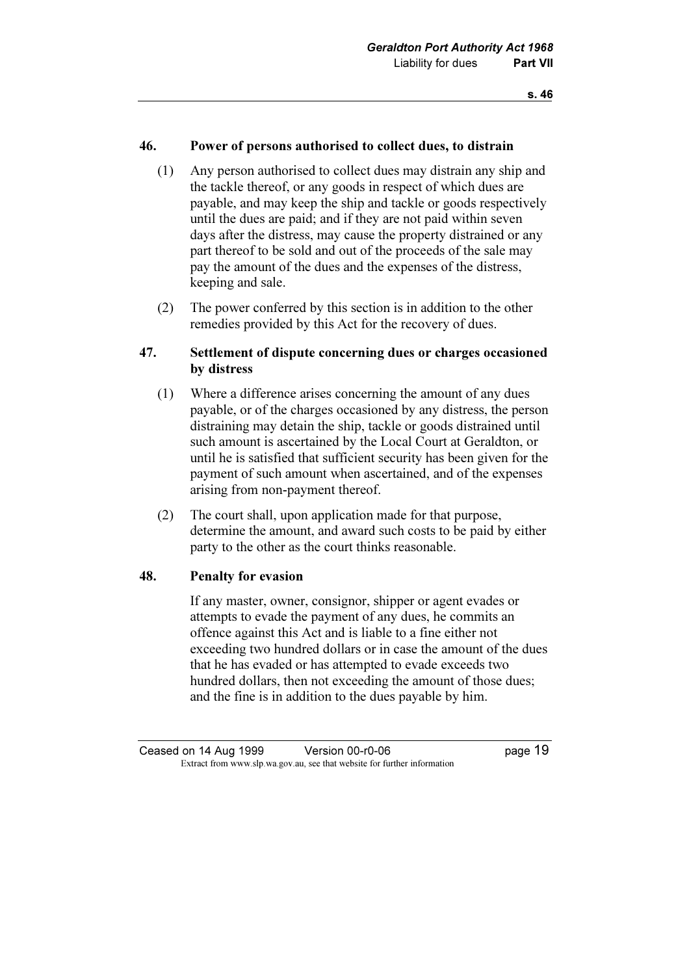### 46. Power of persons authorised to collect dues, to distrain

- (1) Any person authorised to collect dues may distrain any ship and the tackle thereof, or any goods in respect of which dues are payable, and may keep the ship and tackle or goods respectively until the dues are paid; and if they are not paid within seven days after the distress, may cause the property distrained or any part thereof to be sold and out of the proceeds of the sale may pay the amount of the dues and the expenses of the distress, keeping and sale.
- (2) The power conferred by this section is in addition to the other remedies provided by this Act for the recovery of dues.

### 47. Settlement of dispute concerning dues or charges occasioned by distress

- (1) Where a difference arises concerning the amount of any dues payable, or of the charges occasioned by any distress, the person distraining may detain the ship, tackle or goods distrained until such amount is ascertained by the Local Court at Geraldton, or until he is satisfied that sufficient security has been given for the payment of such amount when ascertained, and of the expenses arising from non-payment thereof.
- (2) The court shall, upon application made for that purpose, determine the amount, and award such costs to be paid by either party to the other as the court thinks reasonable.

#### 48. Penalty for evasion

 If any master, owner, consignor, shipper or agent evades or attempts to evade the payment of any dues, he commits an offence against this Act and is liable to a fine either not exceeding two hundred dollars or in case the amount of the dues that he has evaded or has attempted to evade exceeds two hundred dollars, then not exceeding the amount of those dues; and the fine is in addition to the dues payable by him.

Ceased on 14 Aug 1999 Version 00-r0-06 Page 19 Extract from www.slp.wa.gov.au, see that website for further information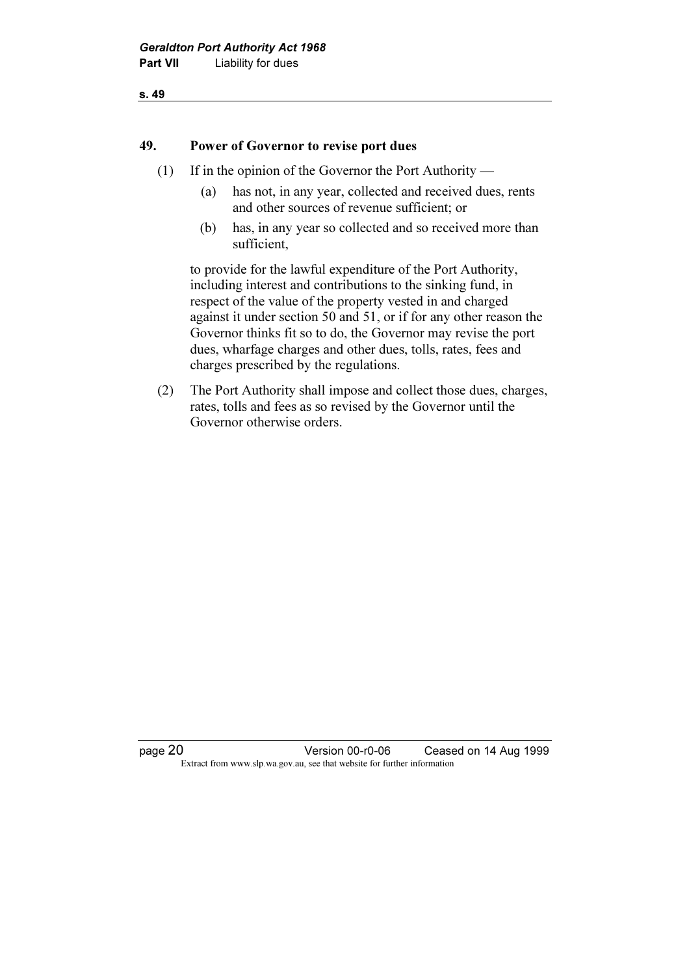#### s. 49

#### 49. Power of Governor to revise port dues

- (1) If in the opinion of the Governor the Port Authority
	- (a) has not, in any year, collected and received dues, rents and other sources of revenue sufficient; or
	- (b) has, in any year so collected and so received more than sufficient,

 to provide for the lawful expenditure of the Port Authority, including interest and contributions to the sinking fund, in respect of the value of the property vested in and charged against it under section 50 and 51, or if for any other reason the Governor thinks fit so to do, the Governor may revise the port dues, wharfage charges and other dues, tolls, rates, fees and charges prescribed by the regulations.

 (2) The Port Authority shall impose and collect those dues, charges, rates, tolls and fees as so revised by the Governor until the Governor otherwise orders.

page 20 Version 00-r0-06 Ceased on 14 Aug 1999 Extract from www.slp.wa.gov.au, see that website for further information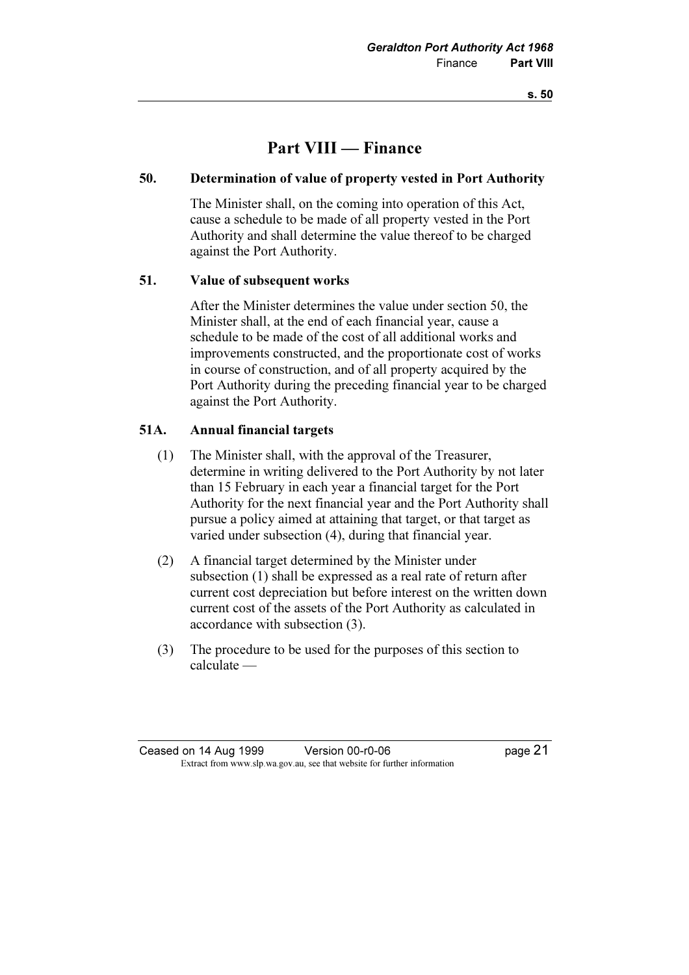s. 50

# Part VIII — Finance

#### 50. Determination of value of property vested in Port Authority

 The Minister shall, on the coming into operation of this Act, cause a schedule to be made of all property vested in the Port Authority and shall determine the value thereof to be charged against the Port Authority.

#### 51. Value of subsequent works

 After the Minister determines the value under section 50, the Minister shall, at the end of each financial year, cause a schedule to be made of the cost of all additional works and improvements constructed, and the proportionate cost of works in course of construction, and of all property acquired by the Port Authority during the preceding financial year to be charged against the Port Authority.

#### 51A. Annual financial targets

- (1) The Minister shall, with the approval of the Treasurer, determine in writing delivered to the Port Authority by not later than 15 February in each year a financial target for the Port Authority for the next financial year and the Port Authority shall pursue a policy aimed at attaining that target, or that target as varied under subsection (4), during that financial year.
- (2) A financial target determined by the Minister under subsection (1) shall be expressed as a real rate of return after current cost depreciation but before interest on the written down current cost of the assets of the Port Authority as calculated in accordance with subsection (3).
- (3) The procedure to be used for the purposes of this section to calculate —

Ceased on 14 Aug 1999 Version 00-r0-06 page 21 Extract from www.slp.wa.gov.au, see that website for further information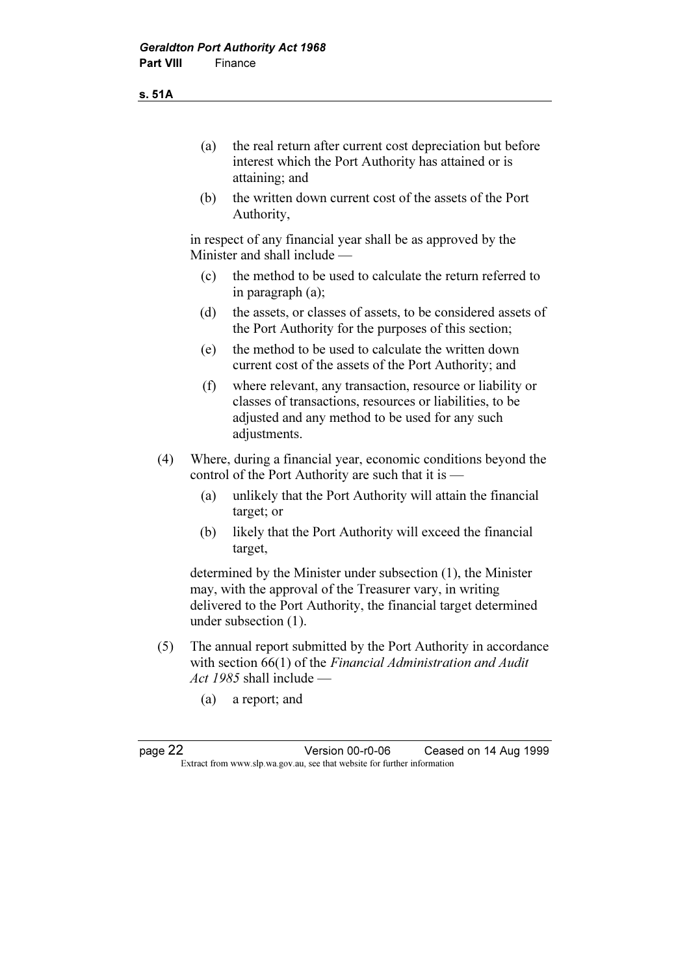s. 51A

- (a) the real return after current cost depreciation but before interest which the Port Authority has attained or is attaining; and
- (b) the written down current cost of the assets of the Port Authority,

 in respect of any financial year shall be as approved by the Minister and shall include —

- (c) the method to be used to calculate the return referred to in paragraph (a);
- (d) the assets, or classes of assets, to be considered assets of the Port Authority for the purposes of this section;
- (e) the method to be used to calculate the written down current cost of the assets of the Port Authority; and
- (f) where relevant, any transaction, resource or liability or classes of transactions, resources or liabilities, to be adjusted and any method to be used for any such adjustments.
- (4) Where, during a financial year, economic conditions beyond the control of the Port Authority are such that it is —
	- (a) unlikely that the Port Authority will attain the financial target; or
	- (b) likely that the Port Authority will exceed the financial target,

 determined by the Minister under subsection (1), the Minister may, with the approval of the Treasurer vary, in writing delivered to the Port Authority, the financial target determined under subsection (1).

- (5) The annual report submitted by the Port Authority in accordance with section 66(1) of the *Financial Administration and Audit* Act 1985 shall include —
	- (a) a report; and

page 22 Version 00-r0-06 Ceased on 14 Aug 1999 Extract from www.slp.wa.gov.au, see that website for further information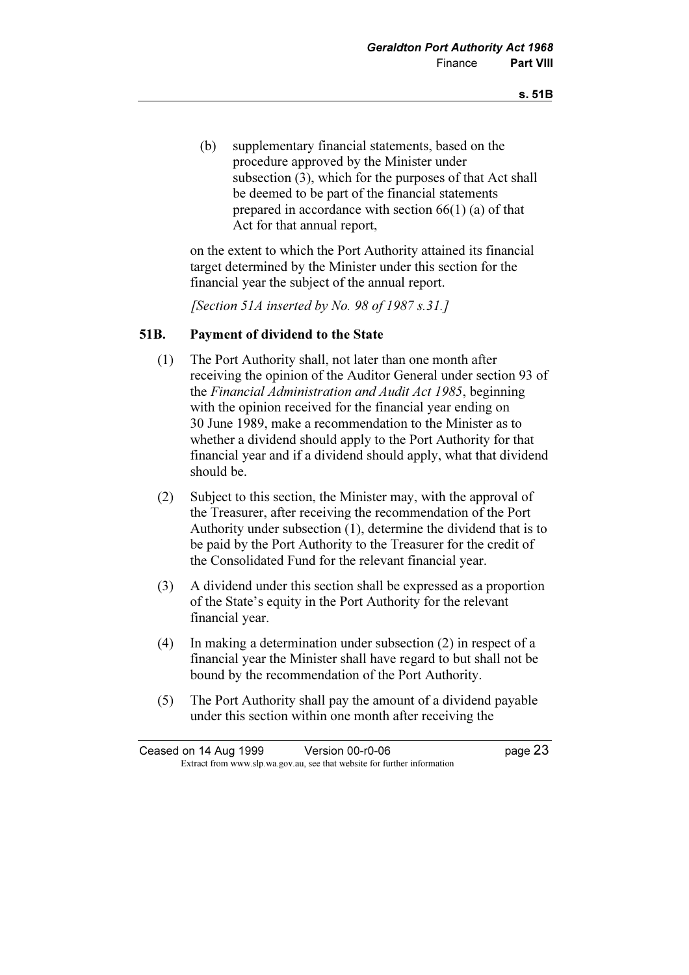(b) supplementary financial statements, based on the procedure approved by the Minister under subsection (3), which for the purposes of that Act shall be deemed to be part of the financial statements prepared in accordance with section 66(1) (a) of that Act for that annual report,

 on the extent to which the Port Authority attained its financial target determined by the Minister under this section for the financial year the subject of the annual report.

[Section 51A inserted by No. 98 of 1987 s.31.]

#### 51B. Payment of dividend to the State

- (1) The Port Authority shall, not later than one month after receiving the opinion of the Auditor General under section 93 of the Financial Administration and Audit Act 1985, beginning with the opinion received for the financial year ending on 30 June 1989, make a recommendation to the Minister as to whether a dividend should apply to the Port Authority for that financial year and if a dividend should apply, what that dividend should be.
- (2) Subject to this section, the Minister may, with the approval of the Treasurer, after receiving the recommendation of the Port Authority under subsection (1), determine the dividend that is to be paid by the Port Authority to the Treasurer for the credit of the Consolidated Fund for the relevant financial year.
- (3) A dividend under this section shall be expressed as a proportion of the State's equity in the Port Authority for the relevant financial year.
- (4) In making a determination under subsection (2) in respect of a financial year the Minister shall have regard to but shall not be bound by the recommendation of the Port Authority.
- (5) The Port Authority shall pay the amount of a dividend payable under this section within one month after receiving the

| Ceased on 14 Aug 1999 | Version 00-r0-06                                                         | page 23 |
|-----------------------|--------------------------------------------------------------------------|---------|
|                       | Extract from www.slp.wa.gov.au, see that website for further information |         |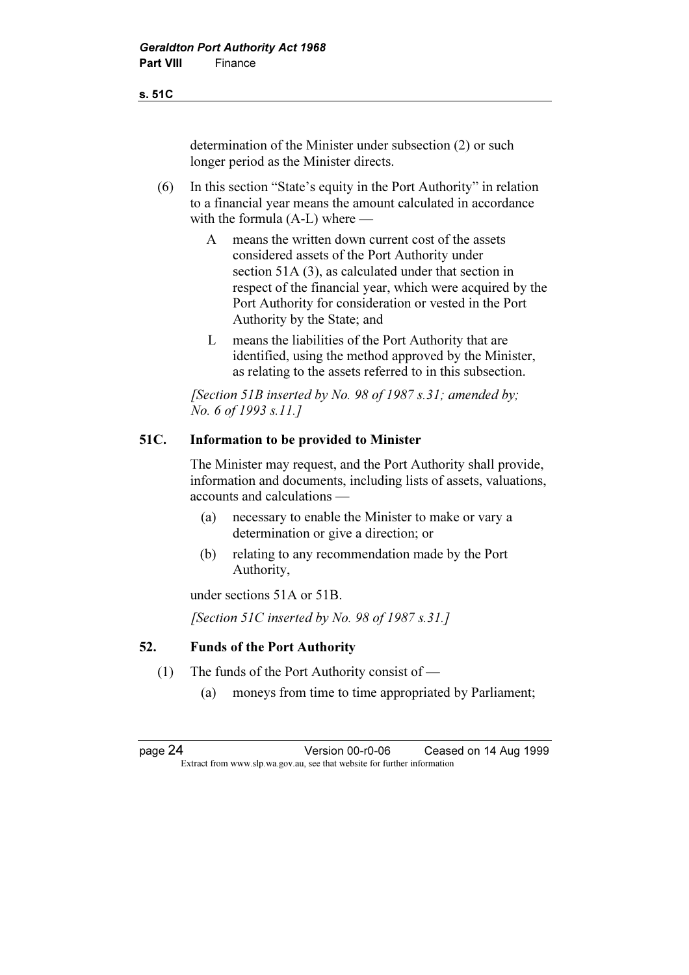determination of the Minister under subsection (2) or such longer period as the Minister directs.

- (6) In this section "State's equity in the Port Authority" in relation to a financial year means the amount calculated in accordance with the formula (A-L) where —
	- A means the written down current cost of the assets considered assets of the Port Authority under section 51A (3), as calculated under that section in respect of the financial year, which were acquired by the Port Authority for consideration or vested in the Port Authority by the State; and
	- L means the liabilities of the Port Authority that are identified, using the method approved by the Minister, as relating to the assets referred to in this subsection.

[Section 51B inserted by No. 98 of 1987 s.31; amended by; No. 6 of 1993 s.11.]

#### 51C. Information to be provided to Minister

 The Minister may request, and the Port Authority shall provide, information and documents, including lists of assets, valuations, accounts and calculations —

- (a) necessary to enable the Minister to make or vary a determination or give a direction; or
- (b) relating to any recommendation made by the Port Authority,

under sections 51A or 51B.

[Section 51C inserted by No. 98 of 1987 s.31.]

#### 52. Funds of the Port Authority

- (1) The funds of the Port Authority consist of
	- (a) moneys from time to time appropriated by Parliament;

page 24 Version 00-r0-06 Ceased on 14 Aug 1999 Extract from www.slp.wa.gov.au, see that website for further information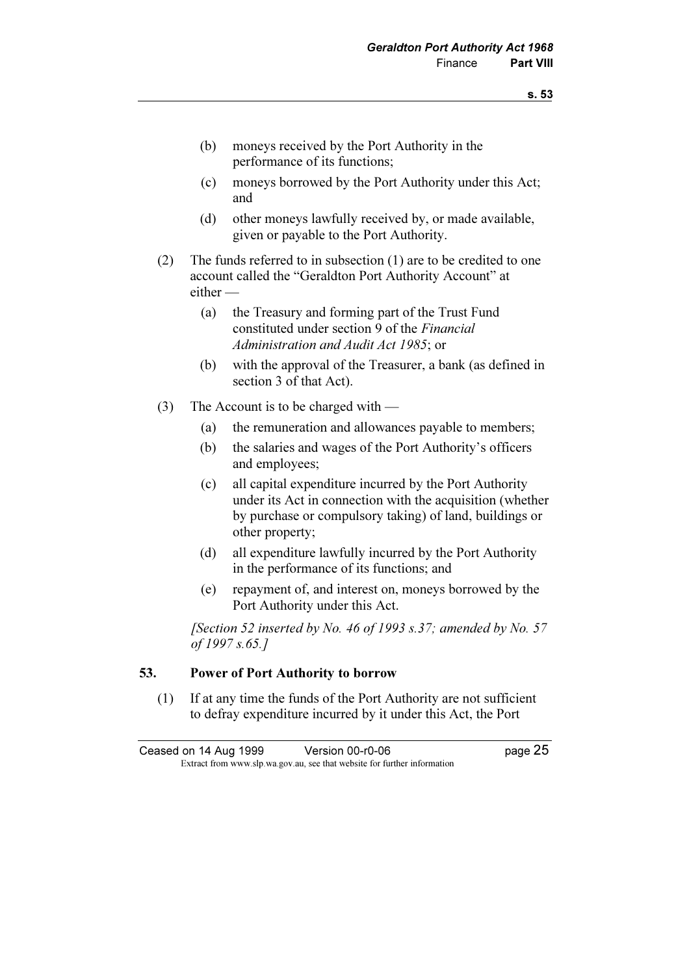- (b) moneys received by the Port Authority in the performance of its functions;
- (c) moneys borrowed by the Port Authority under this Act; and
- (d) other moneys lawfully received by, or made available, given or payable to the Port Authority.
- (2) The funds referred to in subsection (1) are to be credited to one account called the "Geraldton Port Authority Account" at either —
	- (a) the Treasury and forming part of the Trust Fund constituted under section 9 of the Financial Administration and Audit Act 1985; or
	- (b) with the approval of the Treasurer, a bank (as defined in section 3 of that Act).
- (3) The Account is to be charged with
	- (a) the remuneration and allowances payable to members;
	- (b) the salaries and wages of the Port Authority's officers and employees;
	- (c) all capital expenditure incurred by the Port Authority under its Act in connection with the acquisition (whether by purchase or compulsory taking) of land, buildings or other property;
	- (d) all expenditure lawfully incurred by the Port Authority in the performance of its functions; and
	- (e) repayment of, and interest on, moneys borrowed by the Port Authority under this Act.

[Section 52 inserted by No. 46 of 1993 s.37; amended by No. 57 of 1997 s.65.]

#### 53. Power of Port Authority to borrow

 (1) If at any time the funds of the Port Authority are not sufficient to defray expenditure incurred by it under this Act, the Port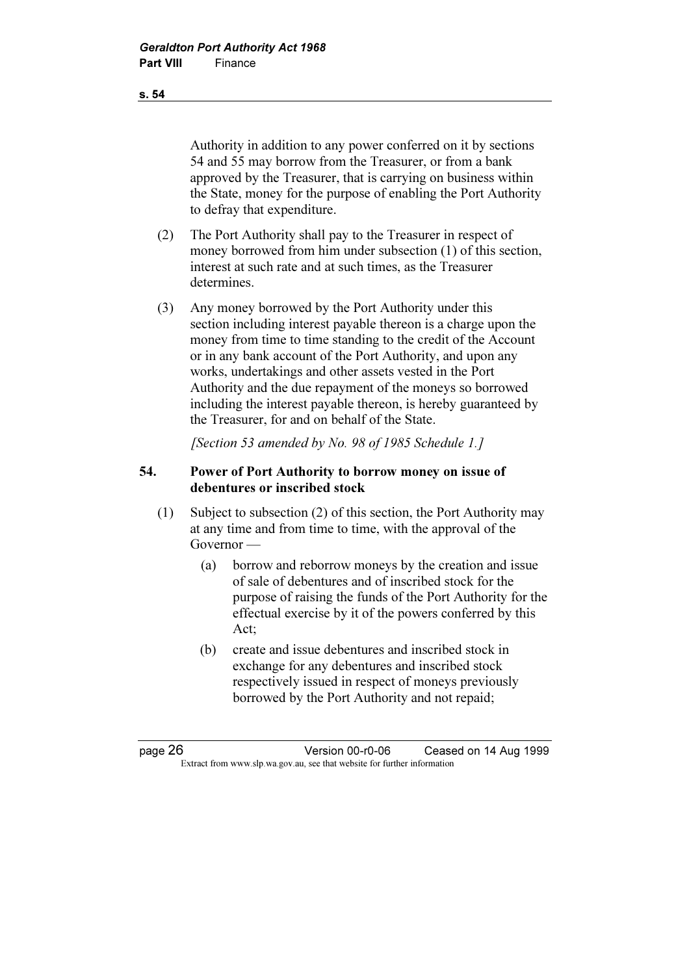Authority in addition to any power conferred on it by sections 54 and 55 may borrow from the Treasurer, or from a bank approved by the Treasurer, that is carrying on business within the State, money for the purpose of enabling the Port Authority to defray that expenditure.

- (2) The Port Authority shall pay to the Treasurer in respect of money borrowed from him under subsection (1) of this section, interest at such rate and at such times, as the Treasurer determines.
- (3) Any money borrowed by the Port Authority under this section including interest payable thereon is a charge upon the money from time to time standing to the credit of the Account or in any bank account of the Port Authority, and upon any works, undertakings and other assets vested in the Port Authority and the due repayment of the moneys so borrowed including the interest payable thereon, is hereby guaranteed by the Treasurer, for and on behalf of the State.

[Section 53 amended by No. 98 of 1985 Schedule 1.]

### 54. Power of Port Authority to borrow money on issue of debentures or inscribed stock

- (1) Subject to subsection (2) of this section, the Port Authority may at any time and from time to time, with the approval of the Governor —
	- (a) borrow and reborrow moneys by the creation and issue of sale of debentures and of inscribed stock for the purpose of raising the funds of the Port Authority for the effectual exercise by it of the powers conferred by this Act;
	- (b) create and issue debentures and inscribed stock in exchange for any debentures and inscribed stock respectively issued in respect of moneys previously borrowed by the Port Authority and not repaid;

page 26 Version 00-r0-06 Ceased on 14 Aug 1999 Extract from www.slp.wa.gov.au, see that website for further information

s. 54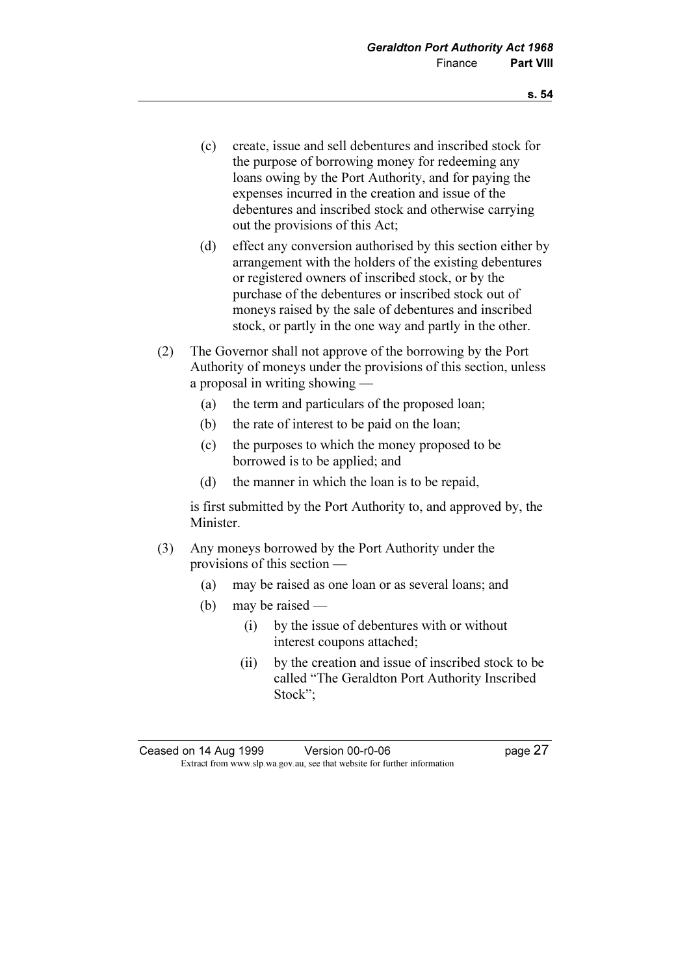- (c) create, issue and sell debentures and inscribed stock for the purpose of borrowing money for redeeming any loans owing by the Port Authority, and for paying the expenses incurred in the creation and issue of the debentures and inscribed stock and otherwise carrying out the provisions of this Act;
- (d) effect any conversion authorised by this section either by arrangement with the holders of the existing debentures or registered owners of inscribed stock, or by the purchase of the debentures or inscribed stock out of moneys raised by the sale of debentures and inscribed stock, or partly in the one way and partly in the other.
- (2) The Governor shall not approve of the borrowing by the Port Authority of moneys under the provisions of this section, unless a proposal in writing showing —
	- (a) the term and particulars of the proposed loan;
	- (b) the rate of interest to be paid on the loan;
	- (c) the purposes to which the money proposed to be borrowed is to be applied; and
	- (d) the manner in which the loan is to be repaid,

 is first submitted by the Port Authority to, and approved by, the Minister.

- (3) Any moneys borrowed by the Port Authority under the provisions of this section —
	- (a) may be raised as one loan or as several loans; and
	- (b) may be raised
		- (i) by the issue of debentures with or without interest coupons attached;
		- (ii) by the creation and issue of inscribed stock to be called "The Geraldton Port Authority Inscribed Stock";

Ceased on 14 Aug 1999 Version 00-r0-06 page 27 Extract from www.slp.wa.gov.au, see that website for further information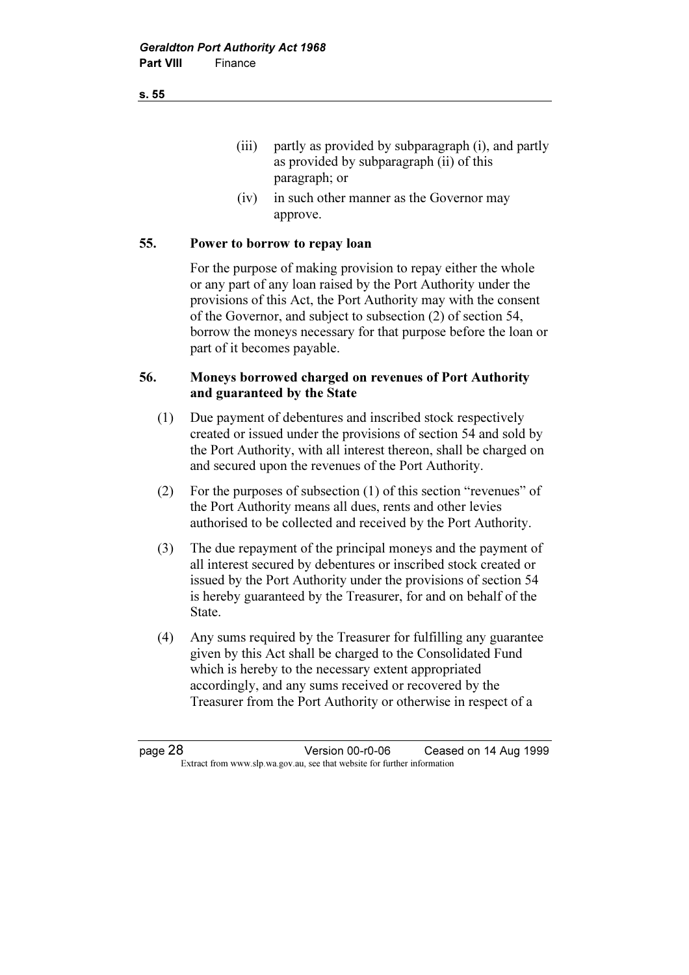(iii) partly as provided by subparagraph (i), and partly as provided by subparagraph (ii) of this paragraph; or

 (iv) in such other manner as the Governor may approve.

#### 55. Power to borrow to repay loan

 For the purpose of making provision to repay either the whole or any part of any loan raised by the Port Authority under the provisions of this Act, the Port Authority may with the consent of the Governor, and subject to subsection (2) of section 54, borrow the moneys necessary for that purpose before the loan or part of it becomes payable.

#### 56. Moneys borrowed charged on revenues of Port Authority and guaranteed by the State

- (1) Due payment of debentures and inscribed stock respectively created or issued under the provisions of section 54 and sold by the Port Authority, with all interest thereon, shall be charged on and secured upon the revenues of the Port Authority.
- (2) For the purposes of subsection (1) of this section "revenues" of the Port Authority means all dues, rents and other levies authorised to be collected and received by the Port Authority.
- (3) The due repayment of the principal moneys and the payment of all interest secured by debentures or inscribed stock created or issued by the Port Authority under the provisions of section 54 is hereby guaranteed by the Treasurer, for and on behalf of the State.
- (4) Any sums required by the Treasurer for fulfilling any guarantee given by this Act shall be charged to the Consolidated Fund which is hereby to the necessary extent appropriated accordingly, and any sums received or recovered by the Treasurer from the Port Authority or otherwise in respect of a

page 28 Version 00-r0-06 Ceased on 14 Aug 1999 Extract from www.slp.wa.gov.au, see that website for further information

s. 55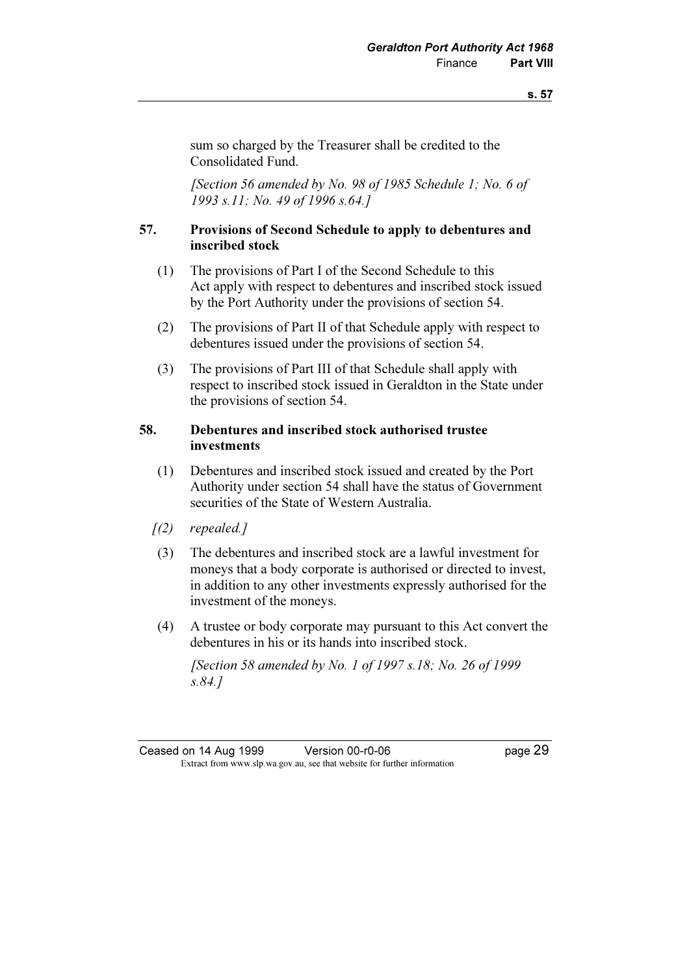sum so charged by the Treasurer shall be credited to the Consolidated Fund.

 [Section 56 amended by No. 98 of 1985 Schedule 1; No. 6 of 1993 s.11; No. 49 of 1996 s.64.]

#### 57. Provisions of Second Schedule to apply to debentures and inscribed stock

- (1) The provisions of Part I of the Second Schedule to this Act apply with respect to debentures and inscribed stock issued by the Port Authority under the provisions of section 54.
- (2) The provisions of Part II of that Schedule apply with respect to debentures issued under the provisions of section 54.
- (3) The provisions of Part III of that Schedule shall apply with respect to inscribed stock issued in Geraldton in the State under the provisions of section 54.

#### 58. Debentures and inscribed stock authorised trustee investments

- (1) Debentures and inscribed stock issued and created by the Port Authority under section 54 shall have the status of Government securities of the State of Western Australia.
- $[1(2)$  repealed.]
- (3) The debentures and inscribed stock are a lawful investment for moneys that a body corporate is authorised or directed to invest, in addition to any other investments expressly authorised for the investment of the moneys.
- (4) A trustee or body corporate may pursuant to this Act convert the debentures in his or its hands into inscribed stock.

 [Section 58 amended by No. 1 of 1997 s.18; No. 26 of 1999 s.84.]

Ceased on 14 Aug 1999 Version 00-r0-06 Page 29 Extract from www.slp.wa.gov.au, see that website for further information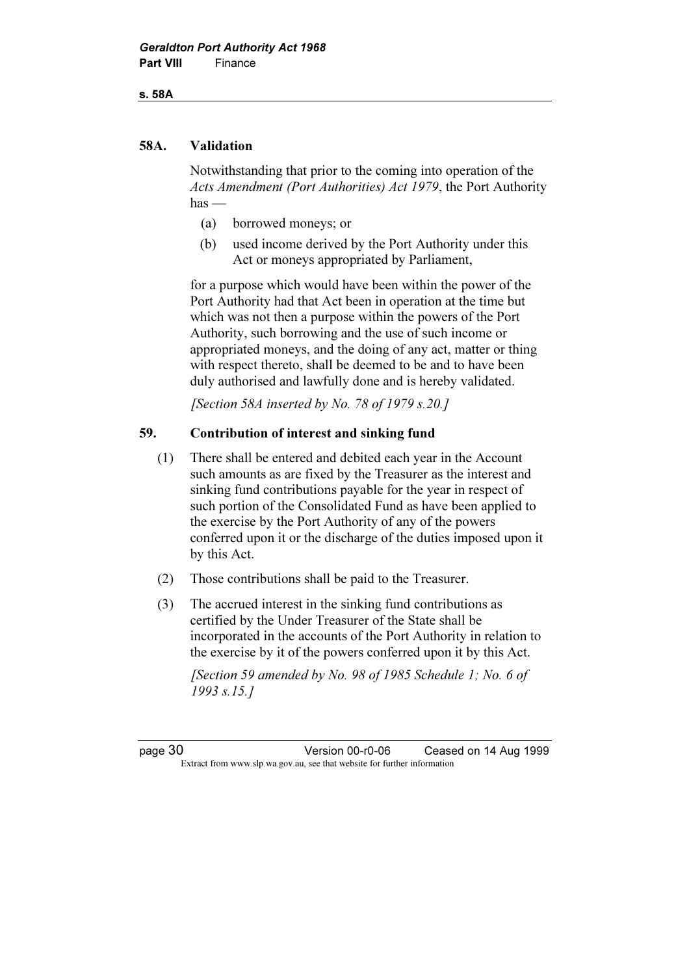s. 58A

#### 58A. Validation

 Notwithstanding that prior to the coming into operation of the Acts Amendment (Port Authorities) Act 1979, the Port Authority  $has$  —

- (a) borrowed moneys; or
- (b) used income derived by the Port Authority under this Act or moneys appropriated by Parliament,

 for a purpose which would have been within the power of the Port Authority had that Act been in operation at the time but which was not then a purpose within the powers of the Port Authority, such borrowing and the use of such income or appropriated moneys, and the doing of any act, matter or thing with respect thereto, shall be deemed to be and to have been duly authorised and lawfully done and is hereby validated.

[Section 58A inserted by No. 78 of 1979 s.20.]

### 59. Contribution of interest and sinking fund

- (1) There shall be entered and debited each year in the Account such amounts as are fixed by the Treasurer as the interest and sinking fund contributions payable for the year in respect of such portion of the Consolidated Fund as have been applied to the exercise by the Port Authority of any of the powers conferred upon it or the discharge of the duties imposed upon it by this Act.
- (2) Those contributions shall be paid to the Treasurer.
- (3) The accrued interest in the sinking fund contributions as certified by the Under Treasurer of the State shall be incorporated in the accounts of the Port Authority in relation to the exercise by it of the powers conferred upon it by this Act.

 [Section 59 amended by No. 98 of 1985 Schedule 1; No. 6 of 1993 s.15.]

page 30 Version 00-r0-06 Ceased on 14 Aug 1999 Extract from www.slp.wa.gov.au, see that website for further information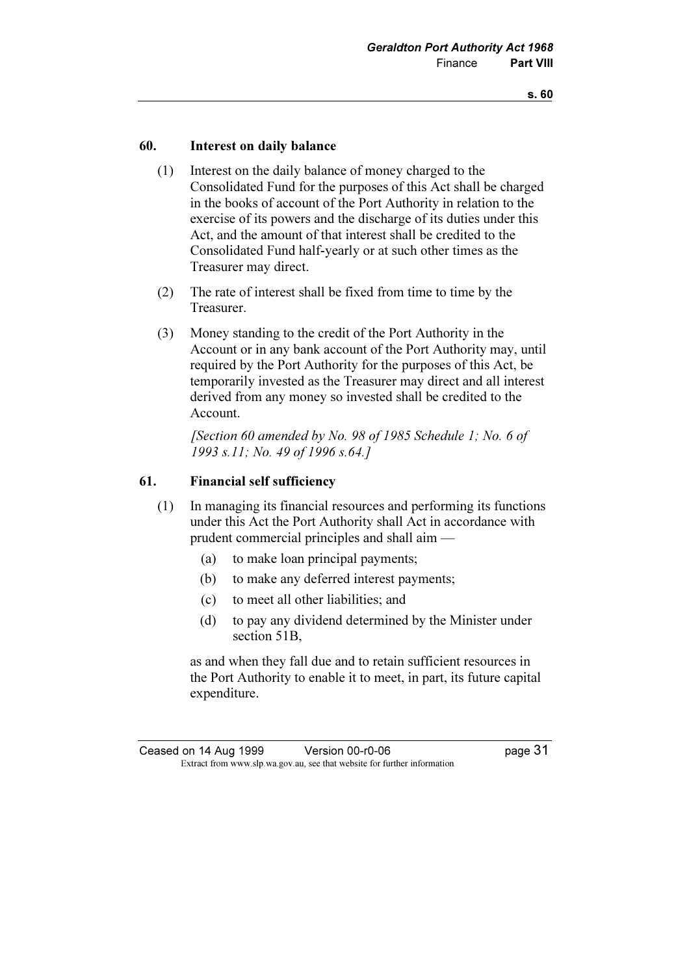#### 60. Interest on daily balance

- (1) Interest on the daily balance of money charged to the Consolidated Fund for the purposes of this Act shall be charged in the books of account of the Port Authority in relation to the exercise of its powers and the discharge of its duties under this Act, and the amount of that interest shall be credited to the Consolidated Fund half-yearly or at such other times as the Treasurer may direct.
- (2) The rate of interest shall be fixed from time to time by the Treasurer.
- (3) Money standing to the credit of the Port Authority in the Account or in any bank account of the Port Authority may, until required by the Port Authority for the purposes of this Act, be temporarily invested as the Treasurer may direct and all interest derived from any money so invested shall be credited to the Account.

 [Section 60 amended by No. 98 of 1985 Schedule 1; No. 6 of 1993 s.11; No. 49 of 1996 s.64.]

#### 61. Financial self sufficiency

- (1) In managing its financial resources and performing its functions under this Act the Port Authority shall Act in accordance with prudent commercial principles and shall aim —
	- (a) to make loan principal payments;
	- (b) to make any deferred interest payments;
	- (c) to meet all other liabilities; and
	- (d) to pay any dividend determined by the Minister under section 51B,

 as and when they fall due and to retain sufficient resources in the Port Authority to enable it to meet, in part, its future capital expenditure.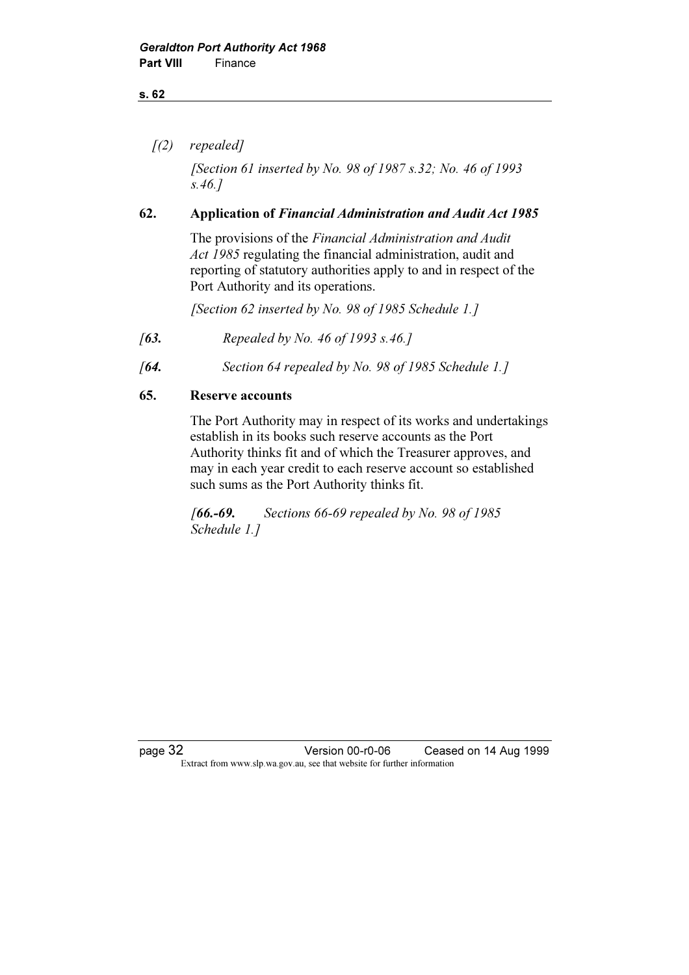#### s. 62

 $(2)$  repealed]

[Section 61 inserted by No. 98 of 1987 s.32; No. 46 of 1993] s.46.]

#### 62. Application of Financial Administration and Audit Act 1985

 The provisions of the Financial Administration and Audit Act 1985 regulating the financial administration, audit and reporting of statutory authorities apply to and in respect of the Port Authority and its operations.

[Section 62 inserted by No. 98 of 1985 Schedule 1.]

- [63. Repealed by No. 46 of 1993 s.46.]
- [64. Section 64 repealed by No. 98 of 1985 Schedule 1.]

#### 65. Reserve accounts

 The Port Authority may in respect of its works and undertakings establish in its books such reserve accounts as the Port Authority thinks fit and of which the Treasurer approves, and may in each year credit to each reserve account so established such sums as the Port Authority thinks fit.

 $[66,-69.$  Sections 66-69 repealed by No. 98 of 1985 Schedule 1.]

page 32 Version 00-r0-06 Ceased on 14 Aug 1999 Extract from www.slp.wa.gov.au, see that website for further information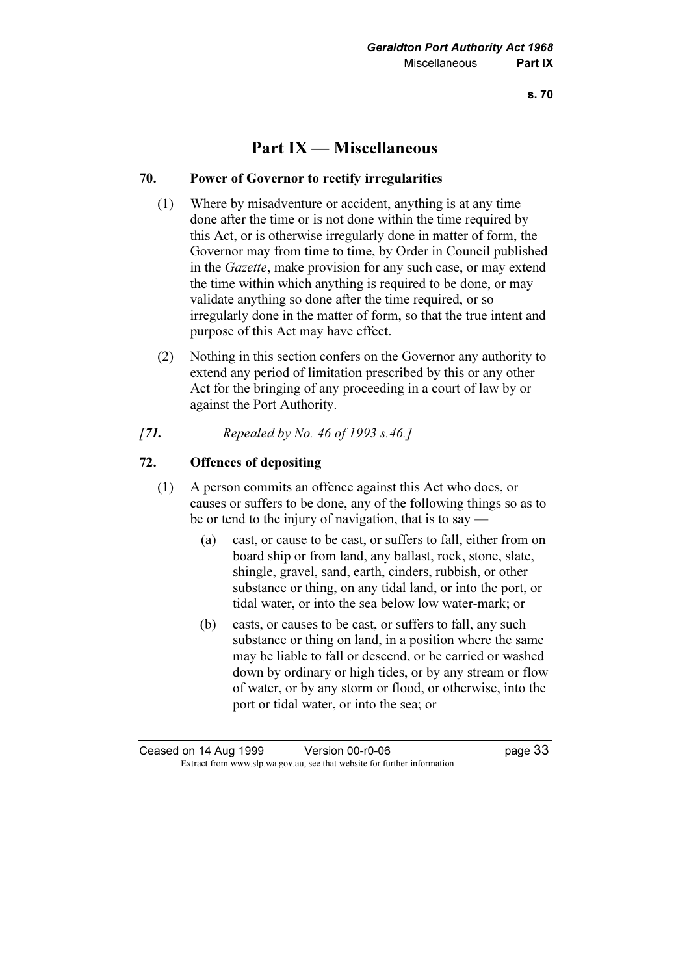# Part IX — Miscellaneous

### 70. Power of Governor to rectify irregularities

- (1) Where by misadventure or accident, anything is at any time done after the time or is not done within the time required by this Act, or is otherwise irregularly done in matter of form, the Governor may from time to time, by Order in Council published in the Gazette, make provision for any such case, or may extend the time within which anything is required to be done, or may validate anything so done after the time required, or so irregularly done in the matter of form, so that the true intent and purpose of this Act may have effect.
- (2) Nothing in this section confers on the Governor any authority to extend any period of limitation prescribed by this or any other Act for the bringing of any proceeding in a court of law by or against the Port Authority.
- [7**1.** Repealed by No. 46 of 1993 s.46.]

### 72. Offences of depositing

- (1) A person commits an offence against this Act who does, or causes or suffers to be done, any of the following things so as to be or tend to the injury of navigation, that is to say —
	- (a) cast, or cause to be cast, or suffers to fall, either from on board ship or from land, any ballast, rock, stone, slate, shingle, gravel, sand, earth, cinders, rubbish, or other substance or thing, on any tidal land, or into the port, or tidal water, or into the sea below low water-mark; or
	- (b) casts, or causes to be cast, or suffers to fall, any such substance or thing on land, in a position where the same may be liable to fall or descend, or be carried or washed down by ordinary or high tides, or by any stream or flow of water, or by any storm or flood, or otherwise, into the port or tidal water, or into the sea; or

Ceased on 14 Aug 1999 Version 00-r0-06 page 33 Extract from www.slp.wa.gov.au, see that website for further information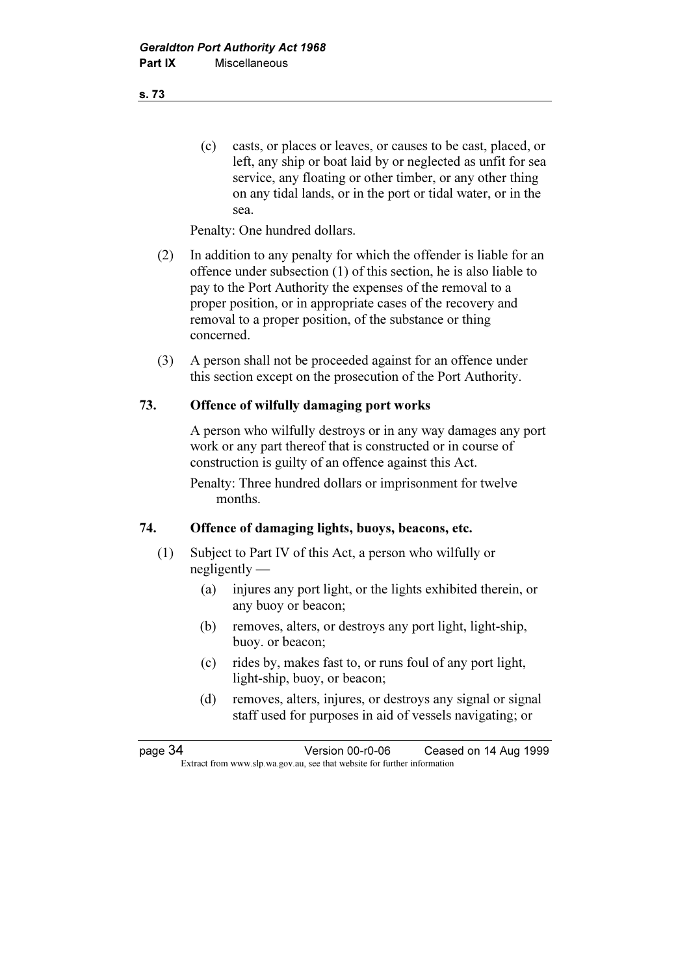(c) casts, or places or leaves, or causes to be cast, placed, or left, any ship or boat laid by or neglected as unfit for sea service, any floating or other timber, or any other thing on any tidal lands, or in the port or tidal water, or in the sea.

Penalty: One hundred dollars.

- (2) In addition to any penalty for which the offender is liable for an offence under subsection (1) of this section, he is also liable to pay to the Port Authority the expenses of the removal to a proper position, or in appropriate cases of the recovery and removal to a proper position, of the substance or thing concerned.
- (3) A person shall not be proceeded against for an offence under this section except on the prosecution of the Port Authority.

#### 73. Offence of wilfully damaging port works

 A person who wilfully destroys or in any way damages any port work or any part thereof that is constructed or in course of construction is guilty of an offence against this Act.

 Penalty: Three hundred dollars or imprisonment for twelve months.

#### 74. Offence of damaging lights, buoys, beacons, etc.

- (1) Subject to Part IV of this Act, a person who wilfully or negligently —
	- (a) injures any port light, or the lights exhibited therein, or any buoy or beacon;
	- (b) removes, alters, or destroys any port light, light-ship, buoy. or beacon;
	- (c) rides by, makes fast to, or runs foul of any port light, light-ship, buoy, or beacon;
	- (d) removes, alters, injures, or destroys any signal or signal staff used for purposes in aid of vessels navigating; or

page 34 Version 00-r0-06 Ceased on 14 Aug 1999 Extract from www.slp.wa.gov.au, see that website for further information

s. 73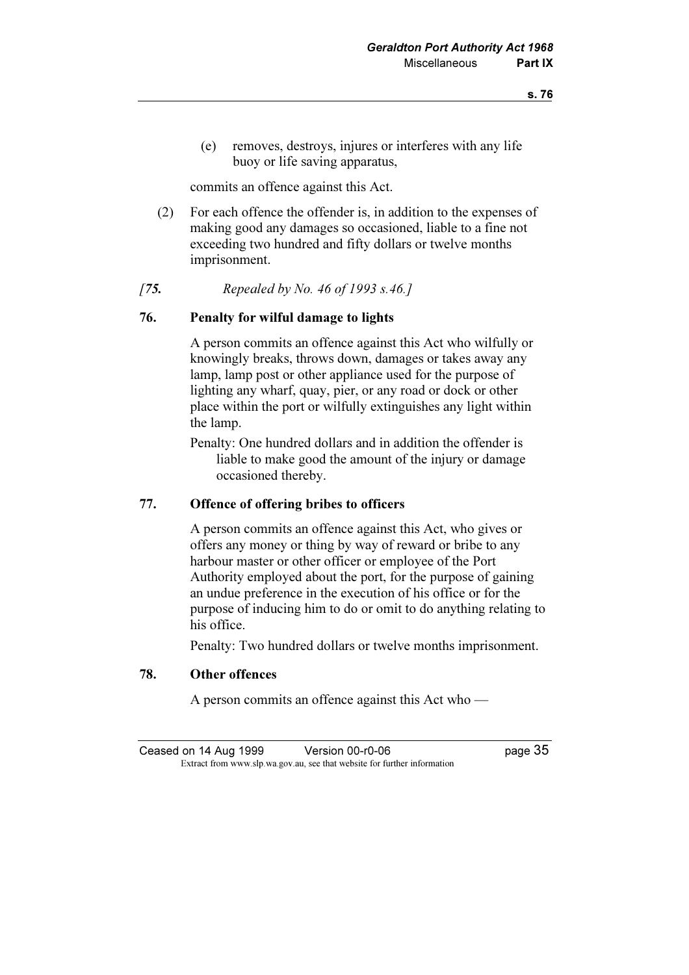(e) removes, destroys, injures or interferes with any life buoy or life saving apparatus,

commits an offence against this Act.

- (2) For each offence the offender is, in addition to the expenses of making good any damages so occasioned, liable to a fine not exceeding two hundred and fifty dollars or twelve months imprisonment.
- [75. Repealed by No. 46 of 1993 s.46.]

#### 76. Penalty for wilful damage to lights

 A person commits an offence against this Act who wilfully or knowingly breaks, throws down, damages or takes away any lamp, lamp post or other appliance used for the purpose of lighting any wharf, quay, pier, or any road or dock or other place within the port or wilfully extinguishes any light within the lamp.

 Penalty: One hundred dollars and in addition the offender is liable to make good the amount of the injury or damage occasioned thereby.

#### 77. Offence of offering bribes to officers

 A person commits an offence against this Act, who gives or offers any money or thing by way of reward or bribe to any harbour master or other officer or employee of the Port Authority employed about the port, for the purpose of gaining an undue preference in the execution of his office or for the purpose of inducing him to do or omit to do anything relating to his office.

Penalty: Two hundred dollars or twelve months imprisonment.

#### 78. Other offences

A person commits an offence against this Act who —

Ceased on 14 Aug 1999 Version 00-r0-06 Page 35 Extract from www.slp.wa.gov.au, see that website for further information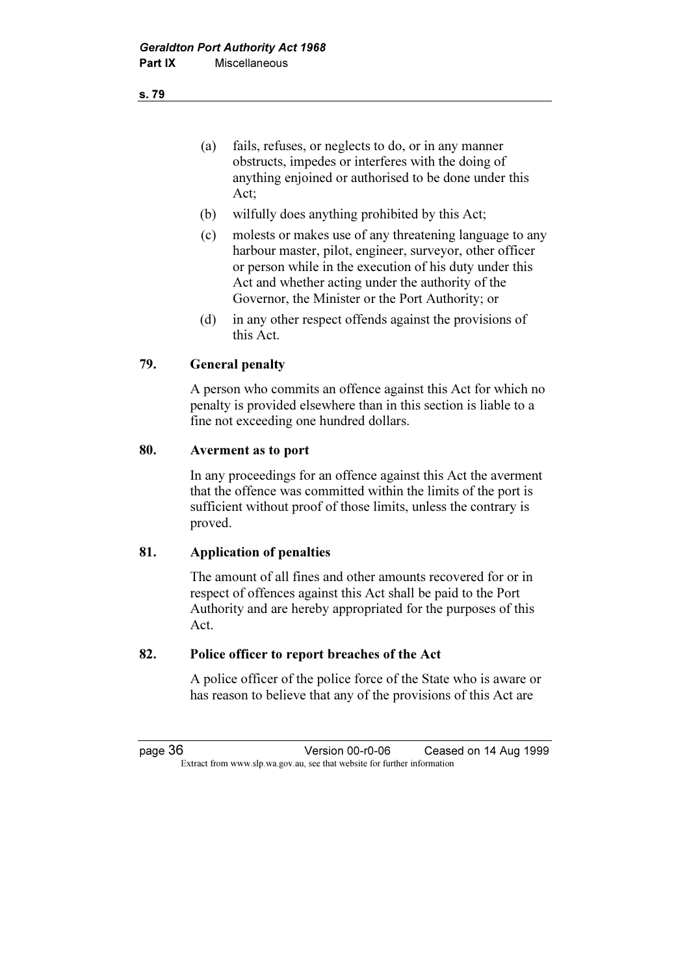(a) fails, refuses, or neglects to do, or in any manner obstructs, impedes or interferes with the doing of anything enjoined or authorised to be done under this Act;

- (b) wilfully does anything prohibited by this Act;
- (c) molests or makes use of any threatening language to any harbour master, pilot, engineer, surveyor, other officer or person while in the execution of his duty under this Act and whether acting under the authority of the Governor, the Minister or the Port Authority; or
- (d) in any other respect offends against the provisions of this Act.

#### 79. General penalty

 A person who commits an offence against this Act for which no penalty is provided elsewhere than in this section is liable to a fine not exceeding one hundred dollars.

#### 80. Averment as to port

 In any proceedings for an offence against this Act the averment that the offence was committed within the limits of the port is sufficient without proof of those limits, unless the contrary is proved.

#### 81. Application of penalties

 The amount of all fines and other amounts recovered for or in respect of offences against this Act shall be paid to the Port Authority and are hereby appropriated for the purposes of this Act.

#### 82. Police officer to report breaches of the Act

 A police officer of the police force of the State who is aware or has reason to believe that any of the provisions of this Act are

page 36 Version 00-r0-06 Ceased on 14 Aug 1999 Extract from www.slp.wa.gov.au, see that website for further information

s. 79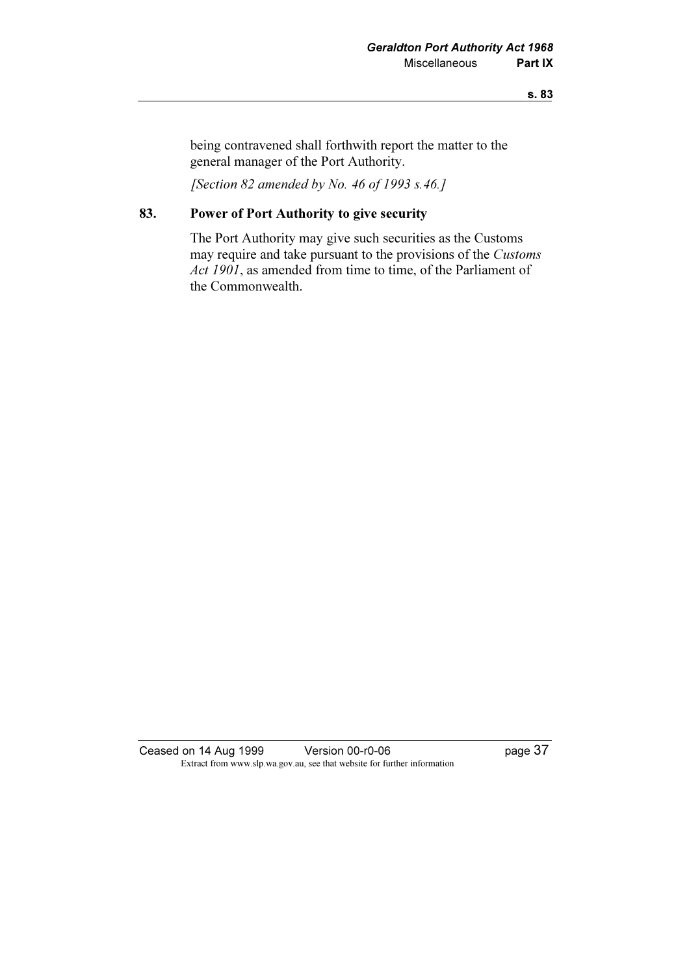#### s. 83

being contravened shall forthwith report the matter to the general manager of the Port Authority.

[Section 82 amended by No. 46 of 1993 s.46.]

# 83. Power of Port Authority to give security

 The Port Authority may give such securities as the Customs may require and take pursuant to the provisions of the Customs Act 1901, as amended from time to time, of the Parliament of the Commonwealth.

Ceased on 14 Aug 1999 Version 00-r0-06 Page 37 Extract from www.slp.wa.gov.au, see that website for further information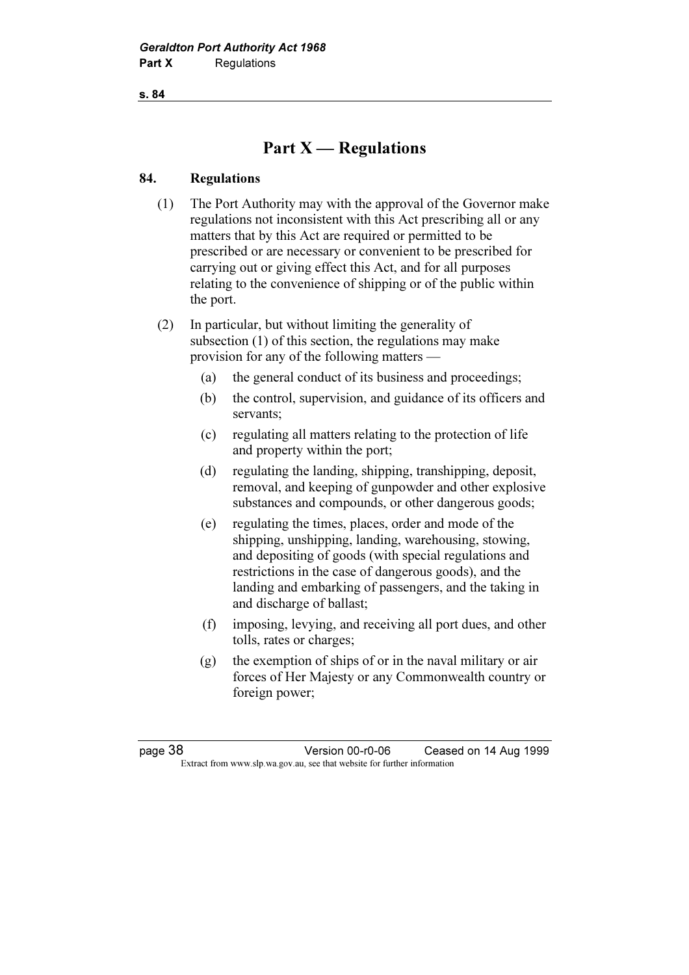s. 84

# Part  $X$  — Regulations

#### 84. Regulations

 (1) The Port Authority may with the approval of the Governor make regulations not inconsistent with this Act prescribing all or any matters that by this Act are required or permitted to be prescribed or are necessary or convenient to be prescribed for carrying out or giving effect this Act, and for all purposes relating to the convenience of shipping or of the public within the port.

 (2) In particular, but without limiting the generality of subsection (1) of this section, the regulations may make provision for any of the following matters —

- (a) the general conduct of its business and proceedings;
- (b) the control, supervision, and guidance of its officers and servants;
- (c) regulating all matters relating to the protection of life and property within the port;
- (d) regulating the landing, shipping, transhipping, deposit, removal, and keeping of gunpowder and other explosive substances and compounds, or other dangerous goods;
- (e) regulating the times, places, order and mode of the shipping, unshipping, landing, warehousing, stowing, and depositing of goods (with special regulations and restrictions in the case of dangerous goods), and the landing and embarking of passengers, and the taking in and discharge of ballast;
- (f) imposing, levying, and receiving all port dues, and other tolls, rates or charges;
- (g) the exemption of ships of or in the naval military or air forces of Her Majesty or any Commonwealth country or foreign power;

page 38 Version 00-r0-06 Ceased on 14 Aug 1999 Extract from www.slp.wa.gov.au, see that website for further information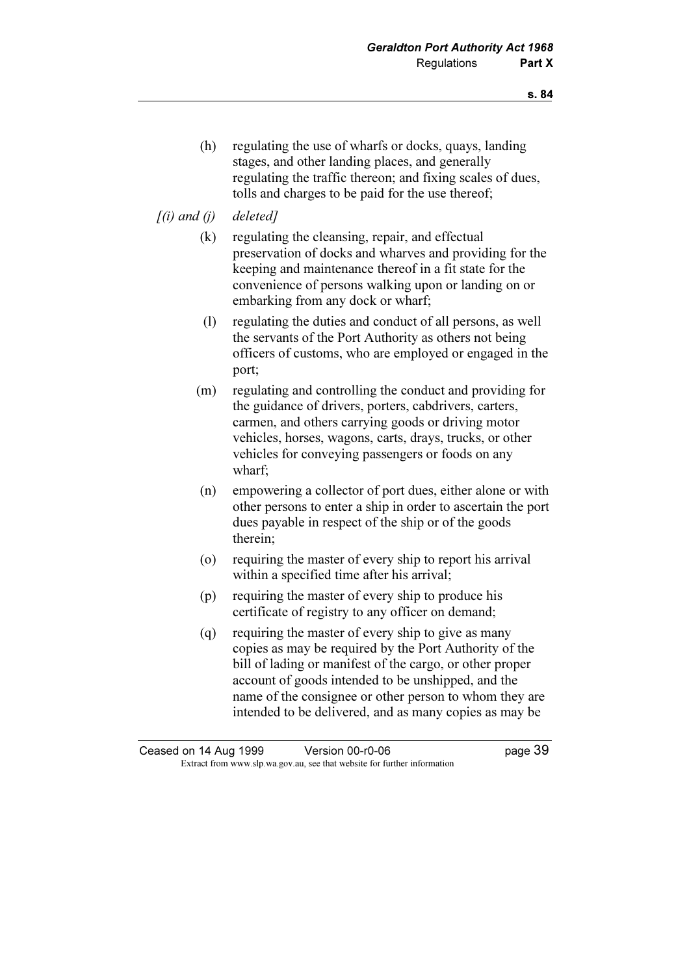(h) regulating the use of wharfs or docks, quays, landing stages, and other landing places, and generally regulating the traffic thereon; and fixing scales of dues, tolls and charges to be paid for the use thereof;

### $[(i)$  and  $(i)$  deleted]

- (k) regulating the cleansing, repair, and effectual preservation of docks and wharves and providing for the keeping and maintenance thereof in a fit state for the convenience of persons walking upon or landing on or embarking from any dock or wharf;
- (l) regulating the duties and conduct of all persons, as well the servants of the Port Authority as others not being officers of customs, who are employed or engaged in the port;
- (m) regulating and controlling the conduct and providing for the guidance of drivers, porters, cabdrivers, carters, carmen, and others carrying goods or driving motor vehicles, horses, wagons, carts, drays, trucks, or other vehicles for conveying passengers or foods on any wharf;
- (n) empowering a collector of port dues, either alone or with other persons to enter a ship in order to ascertain the port dues payable in respect of the ship or of the goods therein;
- (o) requiring the master of every ship to report his arrival within a specified time after his arrival;
- (p) requiring the master of every ship to produce his certificate of registry to any officer on demand;
- (q) requiring the master of every ship to give as many copies as may be required by the Port Authority of the bill of lading or manifest of the cargo, or other proper account of goods intended to be unshipped, and the name of the consignee or other person to whom they are intended to be delivered, and as many copies as may be

Ceased on 14 Aug 1999 Version 00-r0-06 page 39 Extract from www.slp.wa.gov.au, see that website for further information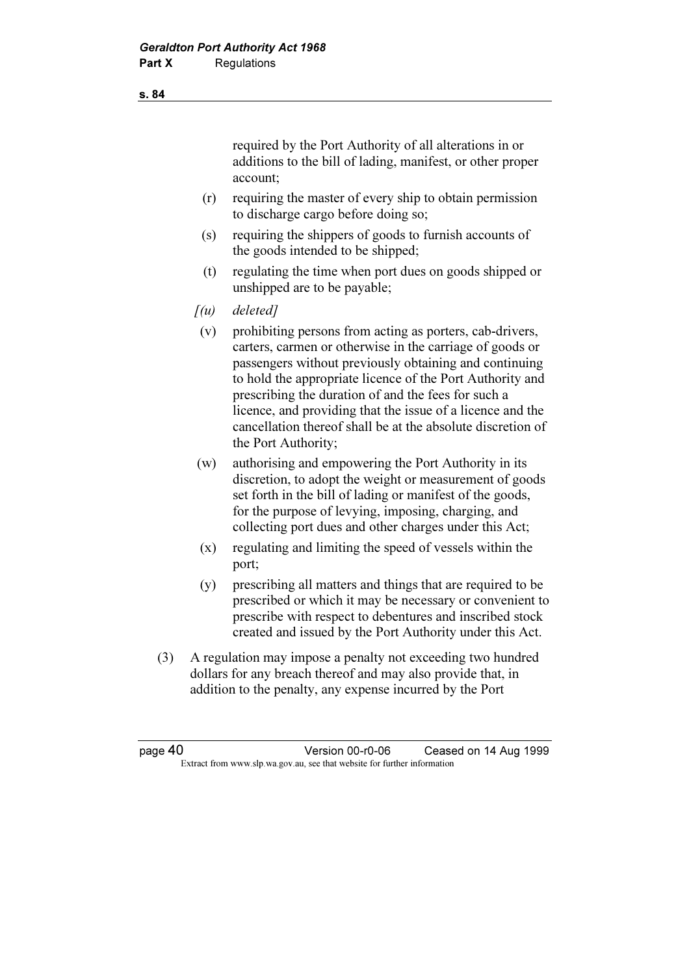required by the Port Authority of all alterations in or additions to the bill of lading, manifest, or other proper account;

- (r) requiring the master of every ship to obtain permission to discharge cargo before doing so;
- (s) requiring the shippers of goods to furnish accounts of the goods intended to be shipped;
- (t) regulating the time when port dues on goods shipped or unshipped are to be payable;
- $[(u)$  deleted]
- (v) prohibiting persons from acting as porters, cab-drivers, carters, carmen or otherwise in the carriage of goods or passengers without previously obtaining and continuing to hold the appropriate licence of the Port Authority and prescribing the duration of and the fees for such a licence, and providing that the issue of a licence and the cancellation thereof shall be at the absolute discretion of the Port Authority;
- (w) authorising and empowering the Port Authority in its discretion, to adopt the weight or measurement of goods set forth in the bill of lading or manifest of the goods, for the purpose of levying, imposing, charging, and collecting port dues and other charges under this Act;
- (x) regulating and limiting the speed of vessels within the port;
- (y) prescribing all matters and things that are required to be prescribed or which it may be necessary or convenient to prescribe with respect to debentures and inscribed stock created and issued by the Port Authority under this Act.
- (3) A regulation may impose a penalty not exceeding two hundred dollars for any breach thereof and may also provide that, in addition to the penalty, any expense incurred by the Port

page 40 Version 00-r0-06 Ceased on 14 Aug 1999 Extract from www.slp.wa.gov.au, see that website for further information

s. 84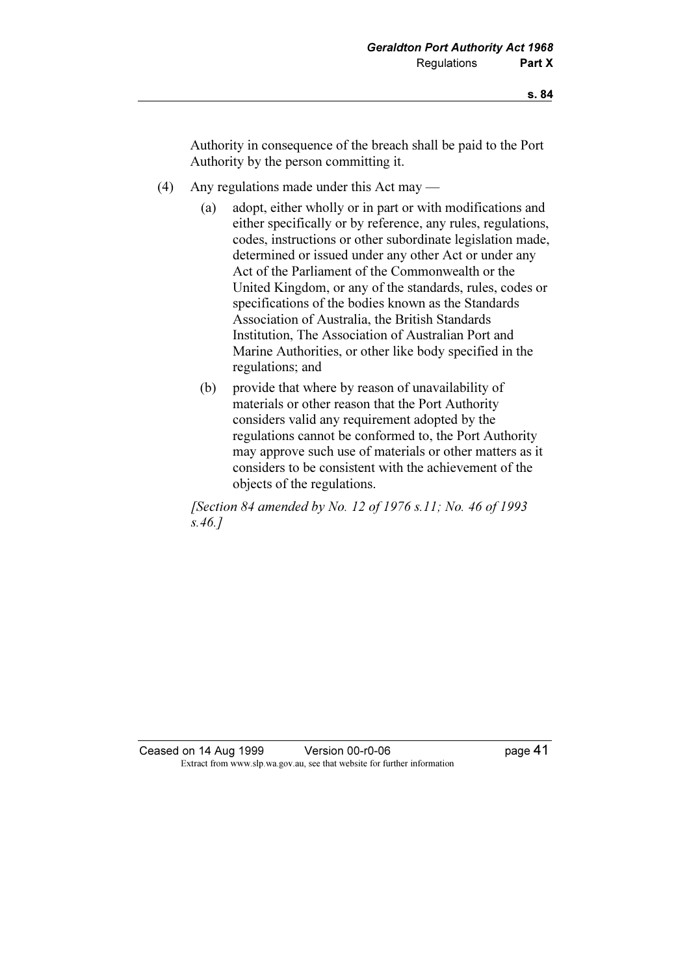Authority in consequence of the breach shall be paid to the Port Authority by the person committing it.

- (4) Any regulations made under this Act may
	- (a) adopt, either wholly or in part or with modifications and either specifically or by reference, any rules, regulations, codes, instructions or other subordinate legislation made, determined or issued under any other Act or under any Act of the Parliament of the Commonwealth or the United Kingdom, or any of the standards, rules, codes or specifications of the bodies known as the Standards Association of Australia, the British Standards Institution, The Association of Australian Port and Marine Authorities, or other like body specified in the regulations; and
	- (b) provide that where by reason of unavailability of materials or other reason that the Port Authority considers valid any requirement adopted by the regulations cannot be conformed to, the Port Authority may approve such use of materials or other matters as it considers to be consistent with the achievement of the objects of the regulations.

 [Section 84 amended by No. 12 of 1976 s.11; No. 46 of 1993 s.46.]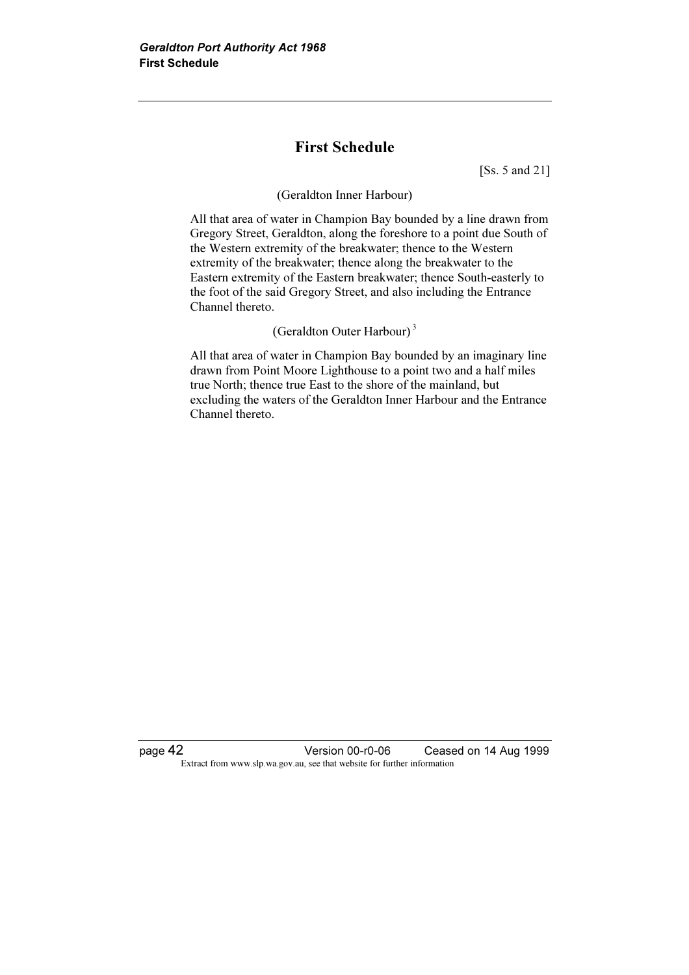# First Schedule

[Ss. 5 and 21]

#### (Geraldton Inner Harbour)

 All that area of water in Champion Bay bounded by a line drawn from Gregory Street, Geraldton, along the foreshore to a point due South of the Western extremity of the breakwater; thence to the Western extremity of the breakwater; thence along the breakwater to the Eastern extremity of the Eastern breakwater; thence South-easterly to the foot of the said Gregory Street, and also including the Entrance Channel thereto.

### (Geraldton Outer Harbour)<sup>3</sup>

 All that area of water in Champion Bay bounded by an imaginary line drawn from Point Moore Lighthouse to a point two and a half miles true North; thence true East to the shore of the mainland, but excluding the waters of the Geraldton Inner Harbour and the Entrance Channel thereto.

page 42 Version 00-r0-06 Ceased on 14 Aug 1999 Extract from www.slp.wa.gov.au, see that website for further information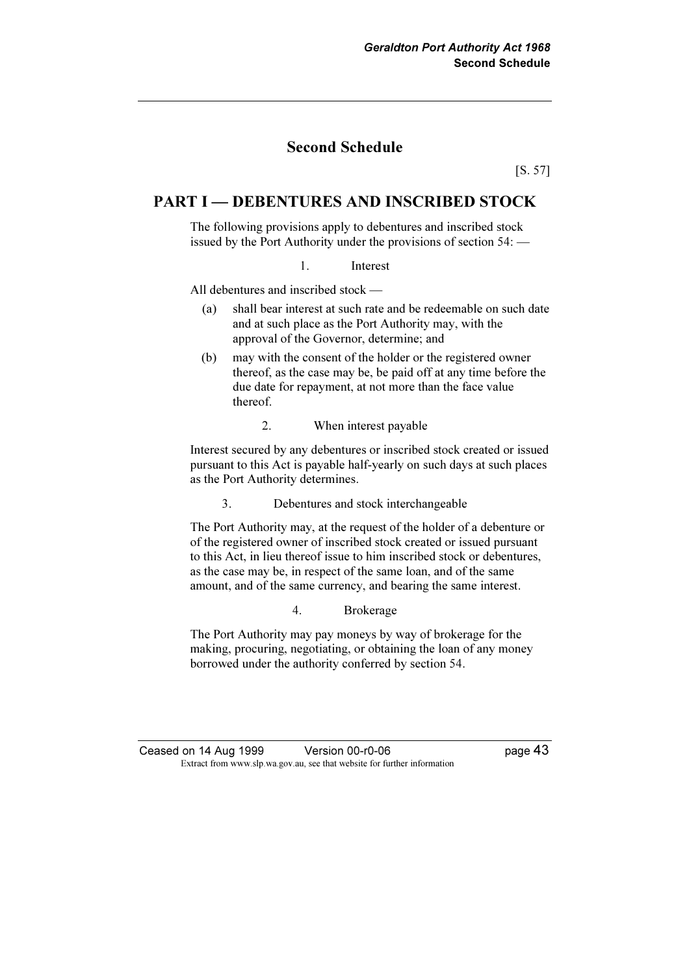# Second Schedule

[S. 57]

### PART I — DEBENTURES AND INSCRIBED STOCK

 The following provisions apply to debentures and inscribed stock issued by the Port Authority under the provisions of section 54: —

1. Interest

All debentures and inscribed stock —

- (a) shall bear interest at such rate and be redeemable on such date and at such place as the Port Authority may, with the approval of the Governor, determine; and
- (b) may with the consent of the holder or the registered owner thereof, as the case may be, be paid off at any time before the due date for repayment, at not more than the face value thereof.
	- 2. When interest payable

 Interest secured by any debentures or inscribed stock created or issued pursuant to this Act is payable half-yearly on such days at such places as the Port Authority determines.

3. Debentures and stock interchangeable

 The Port Authority may, at the request of the holder of a debenture or of the registered owner of inscribed stock created or issued pursuant to this Act, in lieu thereof issue to him inscribed stock or debentures, as the case may be, in respect of the same loan, and of the same amount, and of the same currency, and bearing the same interest.

4. Brokerage

 The Port Authority may pay moneys by way of brokerage for the making, procuring, negotiating, or obtaining the loan of any money borrowed under the authority conferred by section 54.

Ceased on 14 Aug 1999 Version 00-r0-06 Page 43 Extract from www.slp.wa.gov.au, see that website for further information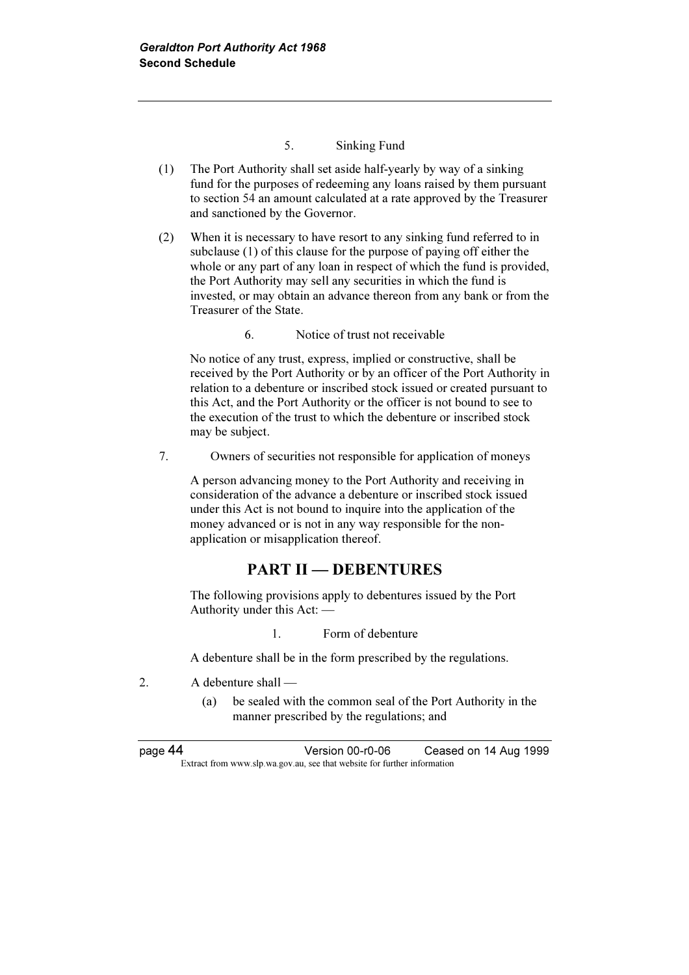#### 5. Sinking Fund

- (1) The Port Authority shall set aside half-yearly by way of a sinking fund for the purposes of redeeming any loans raised by them pursuant to section 54 an amount calculated at a rate approved by the Treasurer and sanctioned by the Governor.
- (2) When it is necessary to have resort to any sinking fund referred to in subclause (1) of this clause for the purpose of paying off either the whole or any part of any loan in respect of which the fund is provided, the Port Authority may sell any securities in which the fund is invested, or may obtain an advance thereon from any bank or from the Treasurer of the State.
	- 6. Notice of trust not receivable

 No notice of any trust, express, implied or constructive, shall be received by the Port Authority or by an officer of the Port Authority in relation to a debenture or inscribed stock issued or created pursuant to this Act, and the Port Authority or the officer is not bound to see to the execution of the trust to which the debenture or inscribed stock may be subject.

7. Owners of securities not responsible for application of moneys

 A person advancing money to the Port Authority and receiving in consideration of the advance a debenture or inscribed stock issued under this Act is not bound to inquire into the application of the money advanced or is not in any way responsible for the nonapplication or misapplication thereof.

## PART II — DEBENTURES

 The following provisions apply to debentures issued by the Port Authority under this Act: —

1. Form of debenture

A debenture shall be in the form prescribed by the regulations.

- 2. A debenture shall
	- (a) be sealed with the common seal of the Port Authority in the manner prescribed by the regulations; and

page 44 Version 00-r0-06 Ceased on 14 Aug 1999 Extract from www.slp.wa.gov.au, see that website for further information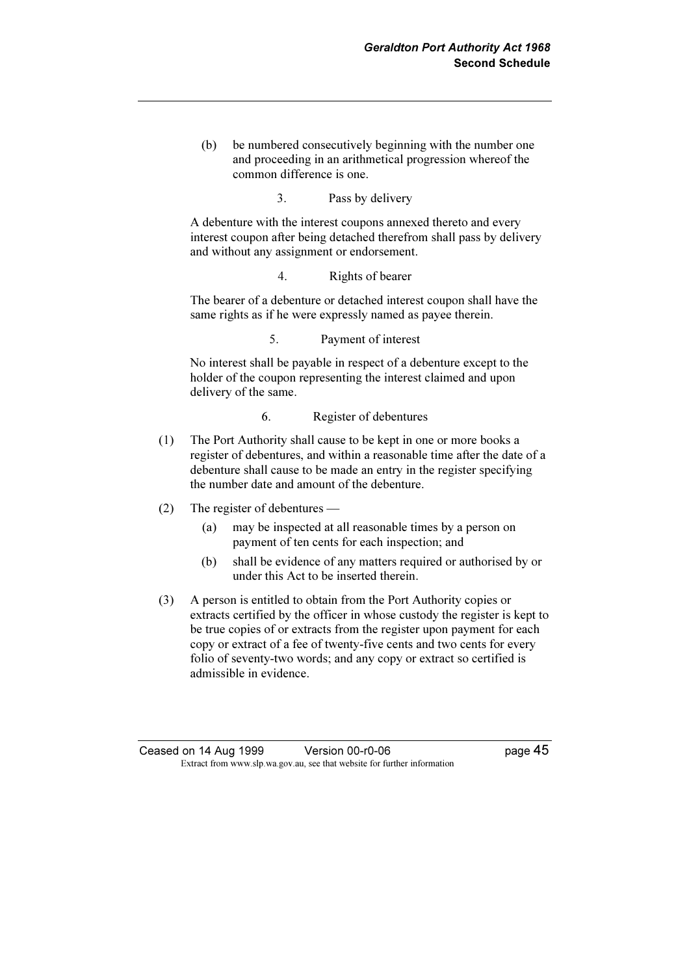(b) be numbered consecutively beginning with the number one and proceeding in an arithmetical progression whereof the common difference is one.

3. Pass by delivery

 A debenture with the interest coupons annexed thereto and every interest coupon after being detached therefrom shall pass by delivery and without any assignment or endorsement.

4. Rights of bearer

 The bearer of a debenture or detached interest coupon shall have the same rights as if he were expressly named as payee therein.

5. Payment of interest

 No interest shall be payable in respect of a debenture except to the holder of the coupon representing the interest claimed and upon delivery of the same.

- 6. Register of debentures
- (1) The Port Authority shall cause to be kept in one or more books a register of debentures, and within a reasonable time after the date of a debenture shall cause to be made an entry in the register specifying the number date and amount of the debenture.
- (2) The register of debentures
	- (a) may be inspected at all reasonable times by a person on payment of ten cents for each inspection; and
	- (b) shall be evidence of any matters required or authorised by or under this Act to be inserted therein.
- (3) A person is entitled to obtain from the Port Authority copies or extracts certified by the officer in whose custody the register is kept to be true copies of or extracts from the register upon payment for each copy or extract of a fee of twenty-five cents and two cents for every folio of seventy-two words; and any copy or extract so certified is admissible in evidence.

Ceased on 14 Aug 1999 Version 00-r0-06 Page 45 Extract from www.slp.wa.gov.au, see that website for further information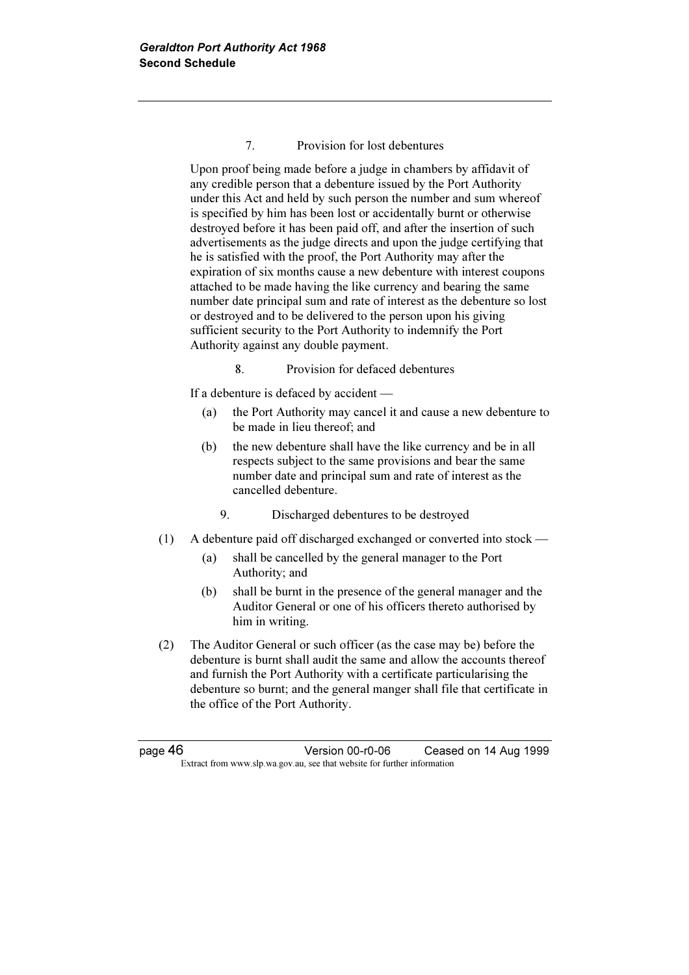#### 7. Provision for lost debentures

 Upon proof being made before a judge in chambers by affidavit of any credible person that a debenture issued by the Port Authority under this Act and held by such person the number and sum whereof is specified by him has been lost or accidentally burnt or otherwise destroyed before it has been paid off, and after the insertion of such advertisements as the judge directs and upon the judge certifying that he is satisfied with the proof, the Port Authority may after the expiration of six months cause a new debenture with interest coupons attached to be made having the like currency and bearing the same number date principal sum and rate of interest as the debenture so lost or destroyed and to be delivered to the person upon his giving sufficient security to the Port Authority to indemnify the Port Authority against any double payment.

8. Provision for defaced debentures

If a debenture is defaced by accident —

- (a) the Port Authority may cancel it and cause a new debenture to be made in lieu thereof; and
- (b) the new debenture shall have the like currency and be in all respects subject to the same provisions and bear the same number date and principal sum and rate of interest as the cancelled debenture.
	- 9. Discharged debentures to be destroyed
- (1) A debenture paid off discharged exchanged or converted into stock
	- (a) shall be cancelled by the general manager to the Port Authority; and
	- (b) shall be burnt in the presence of the general manager and the Auditor General or one of his officers thereto authorised by him in writing.
- (2) The Auditor General or such officer (as the case may be) before the debenture is burnt shall audit the same and allow the accounts thereof and furnish the Port Authority with a certificate particularising the debenture so burnt; and the general manger shall file that certificate in the office of the Port Authority.

page 46 Version 00-r0-06 Ceased on 14 Aug 1999 Extract from www.slp.wa.gov.au, see that website for further information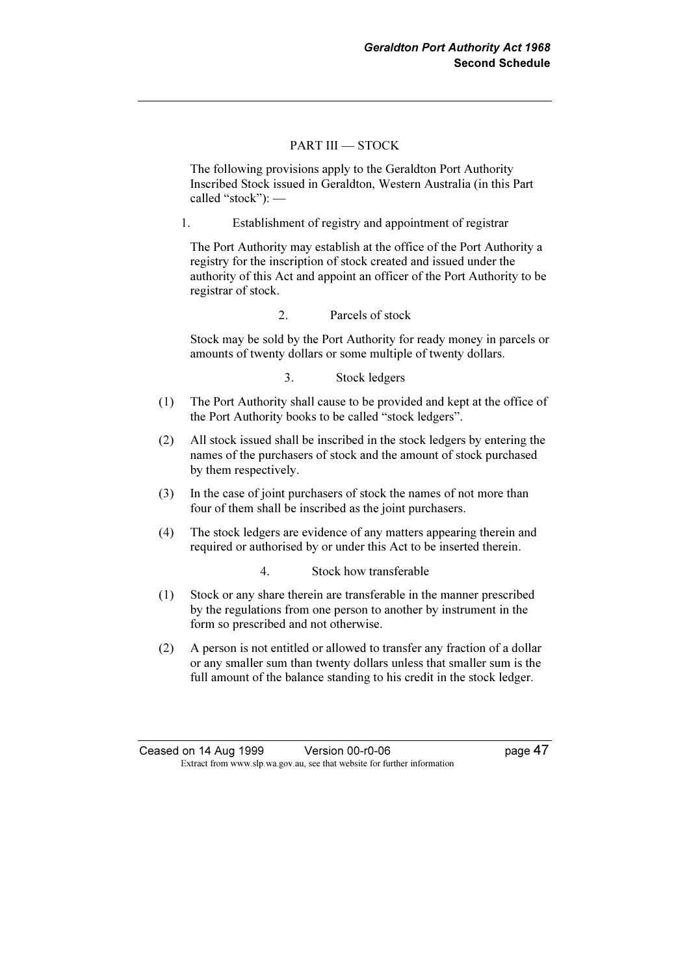#### PART III — STOCK

 The following provisions apply to the Geraldton Port Authority Inscribed Stock issued in Geraldton, Western Australia (in this Part called "stock"): —

1. Establishment of registry and appointment of registrar

 The Port Authority may establish at the office of the Port Authority a registry for the inscription of stock created and issued under the authority of this Act and appoint an officer of the Port Authority to be registrar of stock.

2. Parcels of stock

 Stock may be sold by the Port Authority for ready money in parcels or amounts of twenty dollars or some multiple of twenty dollars.

#### 3. Stock ledgers

- (1) The Port Authority shall cause to be provided and kept at the office of the Port Authority books to be called "stock ledgers".
- (2) All stock issued shall be inscribed in the stock ledgers by entering the names of the purchasers of stock and the amount of stock purchased by them respectively.
- (3) In the case of joint purchasers of stock the names of not more than four of them shall be inscribed as the joint purchasers.
- (4) The stock ledgers are evidence of any matters appearing therein and required or authorised by or under this Act to be inserted therein.
	- 4. Stock how transferable
- (1) Stock or any share therein are transferable in the manner prescribed by the regulations from one person to another by instrument in the form so prescribed and not otherwise.
- (2) A person is not entitled or allowed to transfer any fraction of a dollar or any smaller sum than twenty dollars unless that smaller sum is the full amount of the balance standing to his credit in the stock ledger.

Ceased on 14 Aug 1999 Version 00-r0-06 Page 47 Extract from www.slp.wa.gov.au, see that website for further information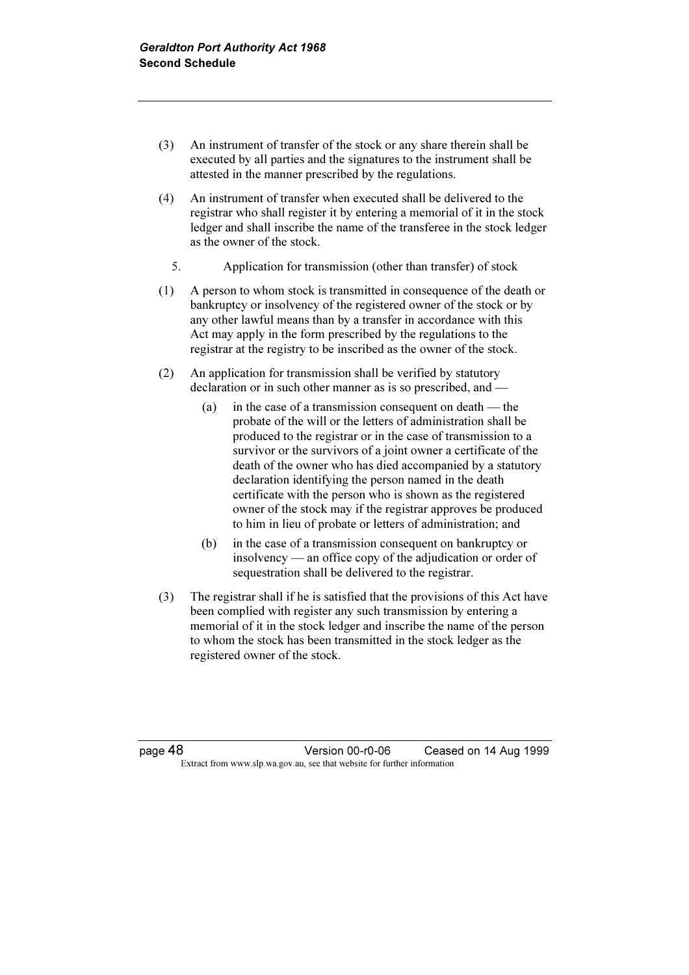- (3) An instrument of transfer of the stock or any share therein shall be executed by all parties and the signatures to the instrument shall be attested in the manner prescribed by the regulations.
- (4) An instrument of transfer when executed shall be delivered to the registrar who shall register it by entering a memorial of it in the stock ledger and shall inscribe the name of the transferee in the stock ledger as the owner of the stock.
	- 5. Application for transmission (other than transfer) of stock
- (1) A person to whom stock is transmitted in consequence of the death or bankruptcy or insolvency of the registered owner of the stock or by any other lawful means than by a transfer in accordance with this Act may apply in the form prescribed by the regulations to the registrar at the registry to be inscribed as the owner of the stock.
- (2) An application for transmission shall be verified by statutory declaration or in such other manner as is so prescribed, and -
	- (a) in the case of a transmission consequent on death the probate of the will or the letters of administration shall be produced to the registrar or in the case of transmission to a survivor or the survivors of a joint owner a certificate of the death of the owner who has died accompanied by a statutory declaration identifying the person named in the death certificate with the person who is shown as the registered owner of the stock may if the registrar approves be produced to him in lieu of probate or letters of administration; and
	- (b) in the case of a transmission consequent on bankruptcy or insolvency — an office copy of the adjudication or order of sequestration shall be delivered to the registrar.
- (3) The registrar shall if he is satisfied that the provisions of this Act have been complied with register any such transmission by entering a memorial of it in the stock ledger and inscribe the name of the person to whom the stock has been transmitted in the stock ledger as the registered owner of the stock.

page 48 Version 00-r0-06 Ceased on 14 Aug 1999 Extract from www.slp.wa.gov.au, see that website for further information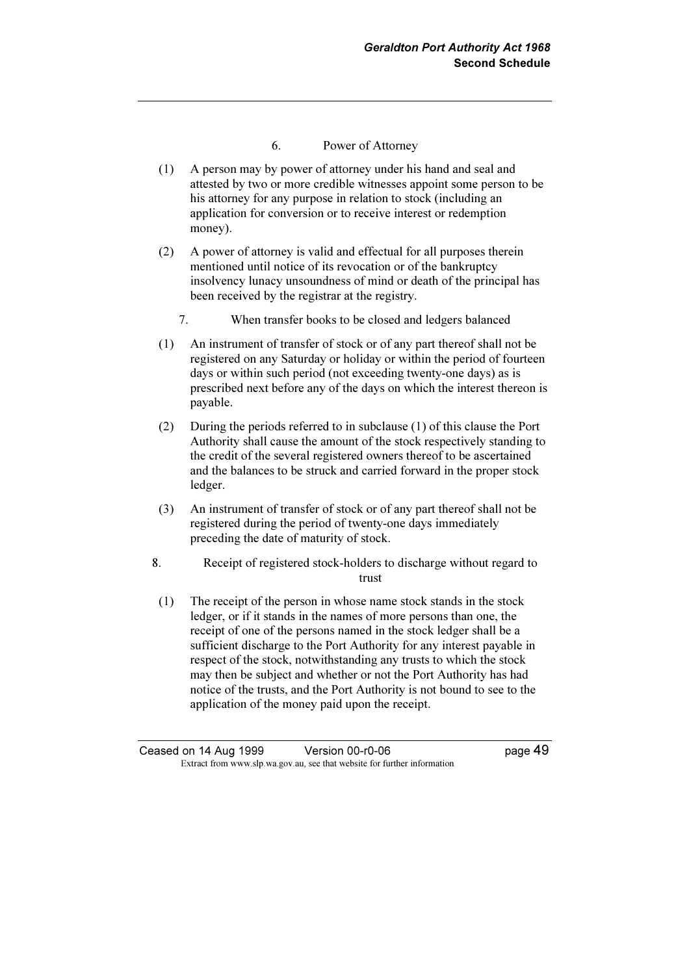- 6. Power of Attorney
- (1) A person may by power of attorney under his hand and seal and attested by two or more credible witnesses appoint some person to be his attorney for any purpose in relation to stock (including an application for conversion or to receive interest or redemption money).
- (2) A power of attorney is valid and effectual for all purposes therein mentioned until notice of its revocation or of the bankruptcy insolvency lunacy unsoundness of mind or death of the principal has been received by the registrar at the registry.
	- 7. When transfer books to be closed and ledgers balanced
- (1) An instrument of transfer of stock or of any part thereof shall not be registered on any Saturday or holiday or within the period of fourteen days or within such period (not exceeding twenty-one days) as is prescribed next before any of the days on which the interest thereon is payable.
- (2) During the periods referred to in subclause (1) of this clause the Port Authority shall cause the amount of the stock respectively standing to the credit of the several registered owners thereof to be ascertained and the balances to be struck and carried forward in the proper stock ledger.
- (3) An instrument of transfer of stock or of any part thereof shall not be registered during the period of twenty-one days immediately preceding the date of maturity of stock.
- 8. Receipt of registered stock-holders to discharge without regard to trust
- (1) The receipt of the person in whose name stock stands in the stock ledger, or if it stands in the names of more persons than one, the receipt of one of the persons named in the stock ledger shall be a sufficient discharge to the Port Authority for any interest payable in respect of the stock, notwithstanding any trusts to which the stock may then be subject and whether or not the Port Authority has had notice of the trusts, and the Port Authority is not bound to see to the application of the money paid upon the receipt.

Ceased on 14 Aug 1999 Version 00-r0-06 page 49 Extract from www.slp.wa.gov.au, see that website for further information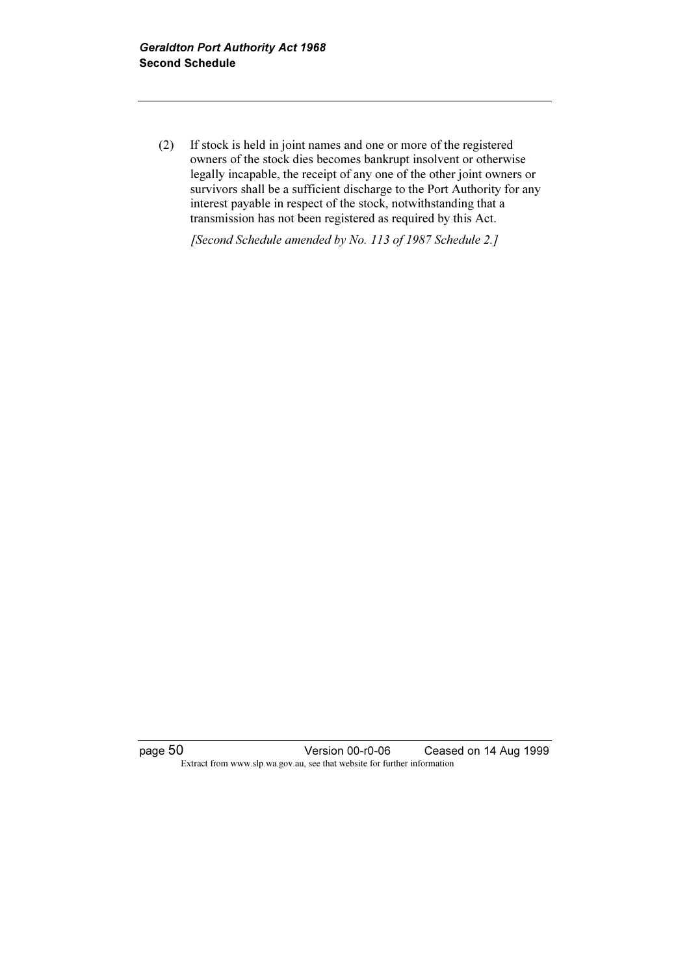(2) If stock is held in joint names and one or more of the registered owners of the stock dies becomes bankrupt insolvent or otherwise legally incapable, the receipt of any one of the other joint owners or survivors shall be a sufficient discharge to the Port Authority for any interest payable in respect of the stock, notwithstanding that a transmission has not been registered as required by this Act.

[Second Schedule amended by No. 113 of 1987 Schedule 2.]

page 50 Version 00-r0-06 Ceased on 14 Aug 1999 Extract from www.slp.wa.gov.au, see that website for further information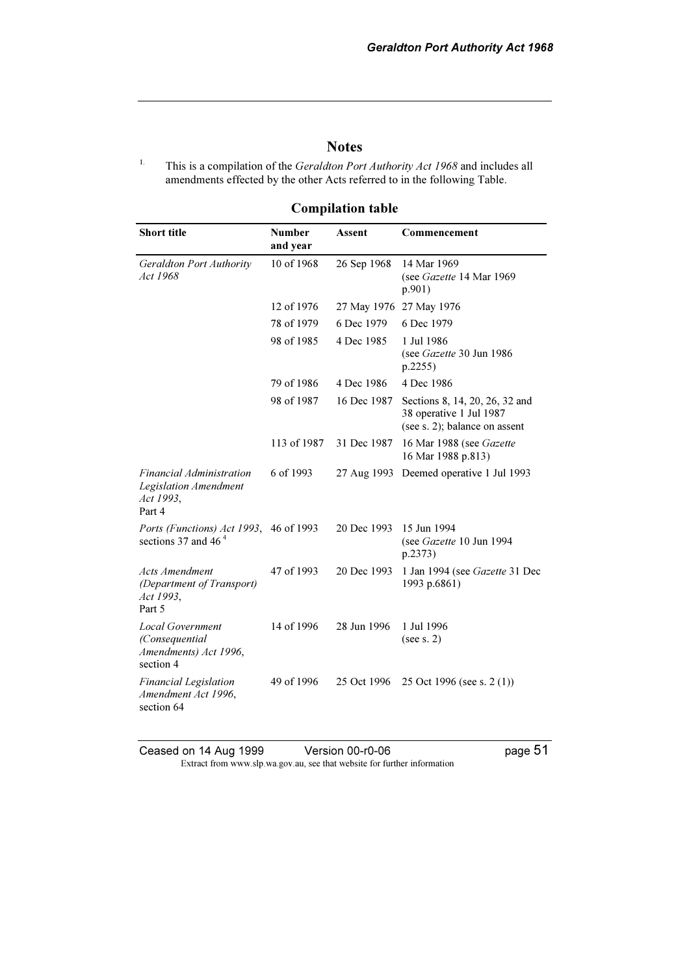#### **Notes**

<sup>1.</sup> This is a compilation of the *Geraldton Port Authority Act 1968* and includes all amendments effected by the other Acts referred to in the following Table.

### Compilation table

| <b>Short title</b>                                                              | <b>Number</b><br>and year | Assent      | Commencement                                                                               |
|---------------------------------------------------------------------------------|---------------------------|-------------|--------------------------------------------------------------------------------------------|
| Geraldton Port Authority<br>Act 1968                                            | 10 of 1968                | 26 Sep 1968 | 14 Mar 1969<br>(see Gazette 14 Mar 1969<br>p.901)                                          |
|                                                                                 | 12 of 1976                | 27 May 1976 | 27 May 1976                                                                                |
|                                                                                 | 78 of 1979                | 6 Dec 1979  | 6 Dec 1979                                                                                 |
|                                                                                 | 98 of 1985                | 4 Dec 1985  | 1 Jul 1986<br>(see Gazette 30 Jun 1986<br>p.2255)                                          |
|                                                                                 | 79 of 1986                | 4 Dec 1986  | 4 Dec 1986                                                                                 |
|                                                                                 | 98 of 1987                | 16 Dec 1987 | Sections 8, 14, 20, 26, 32 and<br>38 operative 1 Jul 1987<br>(see s. 2); balance on assent |
|                                                                                 | 113 of 1987               | 31 Dec 1987 | 16 Mar 1988 (see Gazette<br>16 Mar 1988 p.813)                                             |
| <i>Financial Administration</i><br>Legislation Amendment<br>Act 1993,<br>Part 4 | 6 of 1993                 | 27 Aug 1993 | Deemed operative 1 Jul 1993                                                                |
| Ports (Functions) Act 1993,<br>sections 37 and 46 $4$                           | 46 of 1993                | 20 Dec 1993 | 15 Jun 1994<br>(see Gazette 10 Jun 1994<br>p.2373)                                         |
| <b>Acts Amendment</b><br>(Department of Transport)<br>Act 1993,<br>Part 5       | 47 of 1993                | 20 Dec 1993 | 1 Jan 1994 (see Gazette 31 Dec<br>1993 p.6861)                                             |
| <b>Local Government</b><br>(Consequential<br>Amendments) Act 1996,<br>section 4 | 14 of 1996                | 28 Jun 1996 | 1 Jul 1996<br>(see s. 2)                                                                   |
| <b>Financial Legislation</b><br>Amendment Act 1996,<br>section 64               | 49 of 1996                | 25 Oct 1996 | 25 Oct 1996 (see s. 2 (1))                                                                 |

Ceased on 14 Aug 1999 Version 00-r0-06 Page 51 Extract from www.slp.wa.gov.au, see that website for further information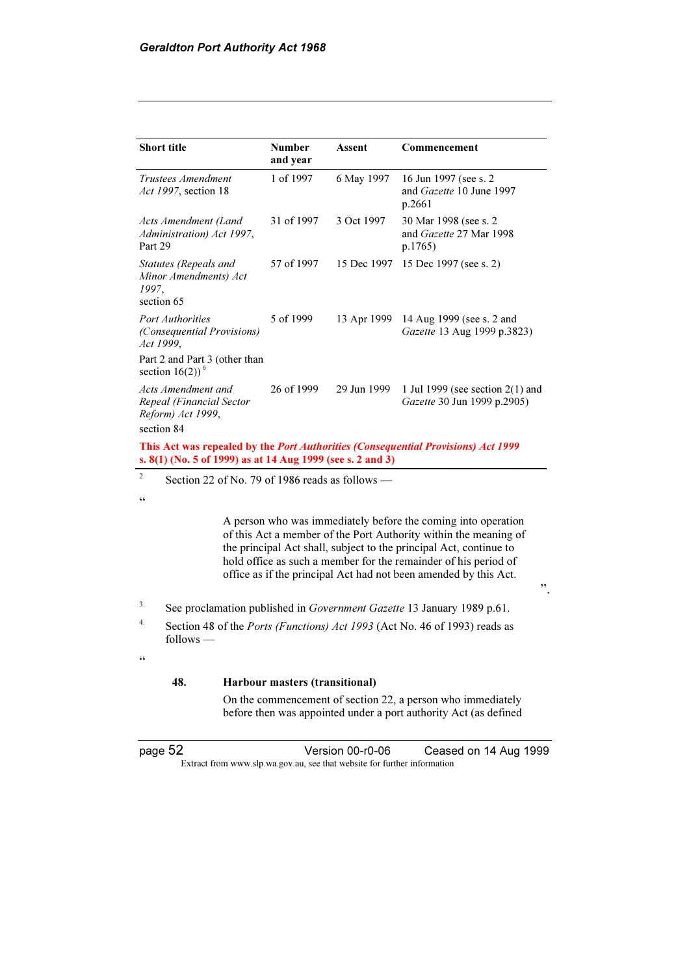| <b>Short title</b>                                                                                                                                     | <b>Number</b><br>and year | Assent      | Commencement                                                        |
|--------------------------------------------------------------------------------------------------------------------------------------------------------|---------------------------|-------------|---------------------------------------------------------------------|
| Trustees Amendment<br><i>Act 1997</i> , section 18                                                                                                     | 1 of 1997                 | 6 May 1997  | 16 Jun 1997 (see s. 2)<br>and <i>Gazette</i> 10 June 1997<br>p.2661 |
| Acts Amendment (Land<br>Administration) Act 1997,<br>Part 29                                                                                           | 31 of 1997                | 3 Oct 1997  | 30 Mar 1998 (see s. 2)<br>and Gazette 27 Mar 1998<br>p.1765)        |
| Statutes (Repeals and<br>Minor Amendments) Act<br>1997,<br>section 65                                                                                  | 57 of 1997                | 15 Dec 1997 | 15 Dec 1997 (see s. 2)                                              |
| <b>Port Authorities</b><br>(Consequential Provisions)<br>Act 1999,                                                                                     | 5 of 1999                 | 13 Apr 1999 | 14 Aug 1999 (see s. 2 and<br>Gazette 13 Aug 1999 p.3823)            |
| Part 2 and Part 3 (other than<br>section $16(2)$ <sup>6</sup>                                                                                          |                           |             |                                                                     |
| Acts Amendment and<br>Repeal (Financial Sector<br>Reform) Act 1999,<br>section 84                                                                      | 26 of 1999                | 29 Jun 1999 | 1 Jul 1999 (see section $2(1)$ and<br>Gazette 30 Jun 1999 p.2905)   |
| This Act was repealed by the <i>Port Authorities (Consequential Provisions) Act 1999</i><br>s. 8(1) (No. 5 of 1999) as at 14 Aug 1999 (see s. 2 and 3) |                           |             |                                                                     |

<sup>2.</sup> Section 22 of No. 79 of 1986 reads as follows —

.<br>"

 A person who was immediately before the coming into operation of this Act a member of the Port Authority within the meaning of the principal Act shall, subject to the principal Act, continue to hold office as such a member for the remainder of his period of office as if the principal Act had not been amended by this Act.

".

- <sup>3.</sup> See proclamation published in *Government Gazette* 13 January 1989 p.61.
- <sup>4.</sup> Section 48 of the *Ports (Functions) Act 1993* (Act No. 46 of 1993) reads as follows —

 $\epsilon$ 

#### 48. Harbour masters (transitional)

 On the commencement of section 22, a person who immediately before then was appointed under a port authority Act (as defined

page 52 Version 00-r0-06 Ceased on 14 Aug 1999 Extract from www.slp.wa.gov.au, see that website for further information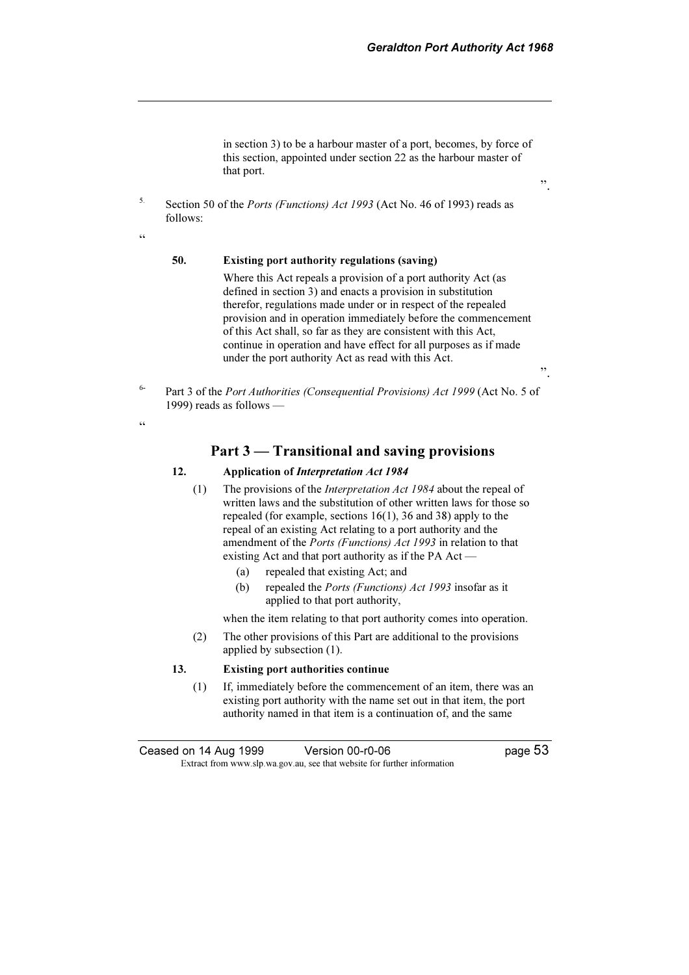".

".

in section 3) to be a harbour master of a port, becomes, by force of this section, appointed under section 22 as the harbour master of that port.

<sup>5.</sup> Section 50 of the *Ports (Functions) Act 1993* (Act No. 46 of 1993) reads as follows:

#### 50. Existing port authority regulations (saving)

 Where this Act repeals a provision of a port authority Act (as defined in section 3) and enacts a provision in substitution therefor, regulations made under or in respect of the repealed provision and in operation immediately before the commencement of this Act shall, so far as they are consistent with this Act, continue in operation and have effect for all purposes as if made under the port authority Act as read with this Act.

<sup>6-</sup> Part 3 of the *Port Authorities (Consequential Provisions) Act 1999* (Act No. 5 of 1999) reads as follows —

 $\alpha$ 

 $\epsilon$ 

Part 3 — Transitional and saving provisions

#### 12. Application of Interpretation Act 1984

- (1) The provisions of the Interpretation Act 1984 about the repeal of written laws and the substitution of other written laws for those so repealed (for example, sections 16(1), 36 and 38) apply to the repeal of an existing Act relating to a port authority and the amendment of the Ports (Functions) Act 1993 in relation to that existing Act and that port authority as if the PA Act -
	- (a) repealed that existing Act; and
	- (b) repealed the Ports (Functions) Act 1993 insofar as it applied to that port authority,

when the item relating to that port authority comes into operation.

 (2) The other provisions of this Part are additional to the provisions applied by subsection (1).

#### 13. Existing port authorities continue

 (1) If, immediately before the commencement of an item, there was an existing port authority with the name set out in that item, the port authority named in that item is a continuation of, and the same

Ceased on 14 Aug 1999 Version 00-r0-06 page 53 Extract from www.slp.wa.gov.au, see that website for further information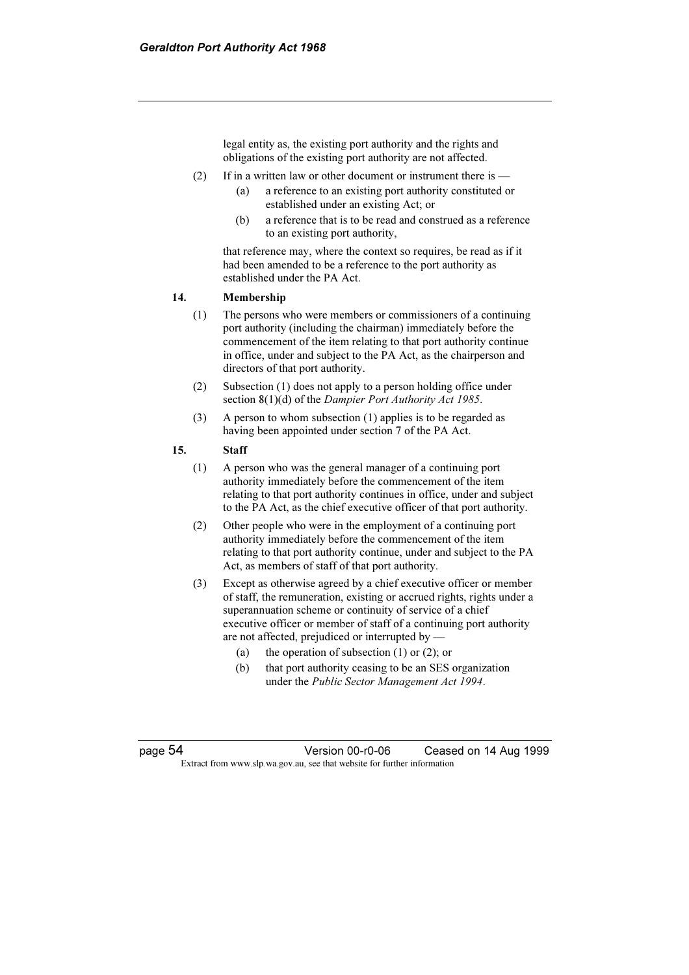legal entity as, the existing port authority and the rights and obligations of the existing port authority are not affected.

- (2) If in a written law or other document or instrument there is
	- (a) a reference to an existing port authority constituted or established under an existing Act; or
	- (b) a reference that is to be read and construed as a reference to an existing port authority,

 that reference may, where the context so requires, be read as if it had been amended to be a reference to the port authority as established under the PA Act.

#### 14. Membership

- (1) The persons who were members or commissioners of a continuing port authority (including the chairman) immediately before the commencement of the item relating to that port authority continue in office, under and subject to the PA Act, as the chairperson and directors of that port authority.
- (2) Subsection (1) does not apply to a person holding office under section 8(1)(d) of the *Dampier Port Authority Act 1985*.
- (3) A person to whom subsection (1) applies is to be regarded as having been appointed under section 7 of the PA Act.

#### 15. Staff

- (1) A person who was the general manager of a continuing port authority immediately before the commencement of the item relating to that port authority continues in office, under and subject to the PA Act, as the chief executive officer of that port authority.
- (2) Other people who were in the employment of a continuing port authority immediately before the commencement of the item relating to that port authority continue, under and subject to the PA Act, as members of staff of that port authority.
- (3) Except as otherwise agreed by a chief executive officer or member of staff, the remuneration, existing or accrued rights, rights under a superannuation scheme or continuity of service of a chief executive officer or member of staff of a continuing port authority are not affected, prejudiced or interrupted by —
	- (a) the operation of subsection  $(1)$  or  $(2)$ ; or
	- (b) that port authority ceasing to be an SES organization under the Public Sector Management Act 1994.

page 54 Version 00-r0-06 Ceased on 14 Aug 1999 Extract from www.slp.wa.gov.au, see that website for further information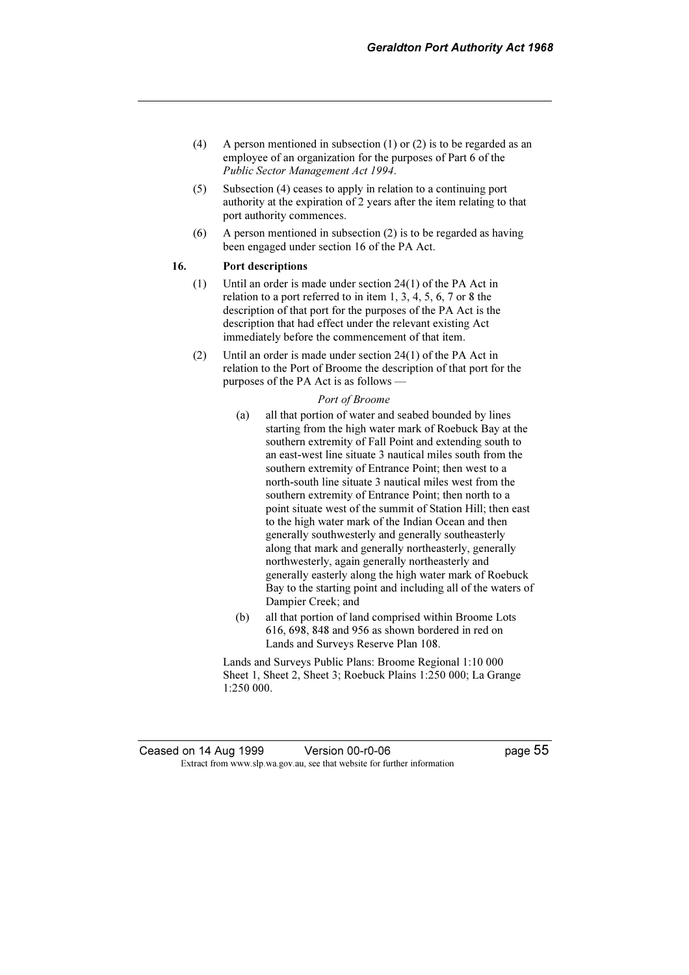- (4) A person mentioned in subsection  $(1)$  or  $(2)$  is to be regarded as an employee of an organization for the purposes of Part 6 of the Public Sector Management Act 1994.
- (5) Subsection (4) ceases to apply in relation to a continuing port authority at the expiration of 2 years after the item relating to that port authority commences.
- (6) A person mentioned in subsection (2) is to be regarded as having been engaged under section 16 of the PA Act.

#### 16. Port descriptions

- (1) Until an order is made under section 24(1) of the PA Act in relation to a port referred to in item 1, 3, 4, 5, 6, 7 or 8 the description of that port for the purposes of the PA Act is the description that had effect under the relevant existing Act immediately before the commencement of that item.
- (2) Until an order is made under section 24(1) of the PA Act in relation to the Port of Broome the description of that port for the purposes of the PA Act is as follows —

#### Port of Broome

- (a) all that portion of water and seabed bounded by lines starting from the high water mark of Roebuck Bay at the southern extremity of Fall Point and extending south to an east-west line situate 3 nautical miles south from the southern extremity of Entrance Point; then west to a north-south line situate 3 nautical miles west from the southern extremity of Entrance Point; then north to a point situate west of the summit of Station Hill; then east to the high water mark of the Indian Ocean and then generally southwesterly and generally southeasterly along that mark and generally northeasterly, generally northwesterly, again generally northeasterly and generally easterly along the high water mark of Roebuck Bay to the starting point and including all of the waters of Dampier Creek; and
- (b) all that portion of land comprised within Broome Lots 616, 698, 848 and 956 as shown bordered in red on Lands and Surveys Reserve Plan 108.

 Lands and Surveys Public Plans: Broome Regional 1:10 000 Sheet 1, Sheet 2, Sheet 3; Roebuck Plains 1:250 000; La Grange 1:250 000.

Ceased on 14 Aug 1999 Version 00-r0-06 page 55 Extract from www.slp.wa.gov.au, see that website for further information